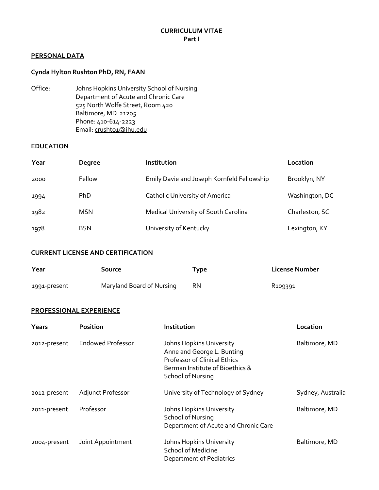### **PERSONAL DATA**

## **Cynda Hylton Rushton PhD, RN, FAAN**

Office: Johns Hopkins University School of Nursing Department of Acute and Chronic Care 525 North Wolfe Street, Room 420 Baltimore, MD 21205 Phone: 410-614-2223 Email: crushto1@jhu.edu

### **EDUCATION**

| Year | <b>Degree</b> | Institution                                | Location       |
|------|---------------|--------------------------------------------|----------------|
| 2000 | Fellow        | Emily Davie and Joseph Kornfeld Fellowship | Brooklyn, NY   |
| 1994 | <b>PhD</b>    | <b>Catholic University of America</b>      | Washington, DC |
| 1982 | <b>MSN</b>    | Medical University of South Carolina       | Charleston, SC |
| 1978 | <b>BSN</b>    | University of Kentucky                     | Lexington, KY  |

### **CURRENT LICENSE AND CERTIFICATION**

| Year         | Source                    | Type      | License Number      |
|--------------|---------------------------|-----------|---------------------|
| 1991-present | Maryland Board of Nursing | <b>RN</b> | R <sub>109391</sub> |

#### **PROFESSIONAL EXPERIENCE**

| Years        | <b>Position</b>          | Institution                                                                                                                                                  | Location          |
|--------------|--------------------------|--------------------------------------------------------------------------------------------------------------------------------------------------------------|-------------------|
| 2012-present | <b>Endowed Professor</b> | Johns Hopkins University<br>Anne and George L. Bunting<br><b>Professor of Clinical Ethics</b><br>Berman Institute of Bioethics &<br><b>School of Nursing</b> | Baltimore, MD     |
| 2012-present | Adjunct Professor        | University of Technology of Sydney                                                                                                                           | Sydney, Australia |
| 2011-present | Professor                | Johns Hopkins University<br><b>School of Nursing</b><br>Department of Acute and Chronic Care                                                                 | Baltimore, MD     |
| 2004-present | Joint Appointment        | Johns Hopkins University<br><b>School of Medicine</b><br>Department of Pediatrics                                                                            | Baltimore, MD     |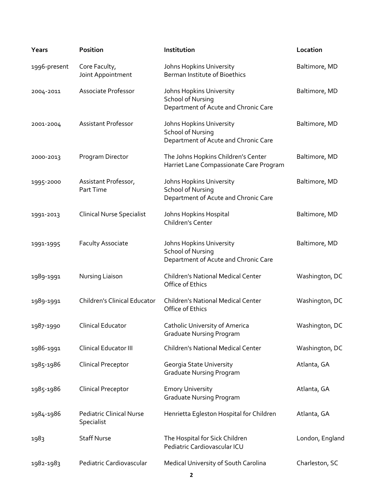| Years        | <b>Position</b>                               | Institution                                                                                  | Location        |
|--------------|-----------------------------------------------|----------------------------------------------------------------------------------------------|-----------------|
| 1996-present | Core Faculty,<br>Joint Appointment            | Johns Hopkins University<br>Berman Institute of Bioethics                                    | Baltimore, MD   |
| 2004-2011    | Associate Professor                           | Johns Hopkins University<br><b>School of Nursing</b><br>Department of Acute and Chronic Care | Baltimore, MD   |
| 2001-2004    | <b>Assistant Professor</b>                    | Johns Hopkins University<br><b>School of Nursing</b><br>Department of Acute and Chronic Care | Baltimore, MD   |
| 2000-2013    | Program Director                              | The Johns Hopkins Children's Center<br>Harriet Lane Compassionate Care Program               | Baltimore, MD   |
| 1995-2000    | Assistant Professor,<br>Part Time             | Johns Hopkins University<br><b>School of Nursing</b><br>Department of Acute and Chronic Care | Baltimore, MD   |
| 1991-2013    | <b>Clinical Nurse Specialist</b>              | Johns Hopkins Hospital<br>Children's Center                                                  | Baltimore, MD   |
| 1991-1995    | Faculty Associate                             | Johns Hopkins University<br><b>School of Nursing</b><br>Department of Acute and Chronic Care | Baltimore, MD   |
| 1989-1991    | Nursing Liaison                               | <b>Children's National Medical Center</b><br>Office of Ethics                                | Washington, DC  |
| 1989-1991    | <b>Children's Clinical Educator</b>           | <b>Children's National Medical Center</b><br>Office of Ethics                                | Washington, DC  |
| 1987-1990    | Clinical Educator                             | <b>Catholic University of America</b><br><b>Graduate Nursing Program</b>                     | Washington, DC  |
| 1986-1991    | Clinical Educator III                         | <b>Children's National Medical Center</b>                                                    | Washington, DC  |
| 1985-1986    | <b>Clinical Preceptor</b>                     | Georgia State University<br><b>Graduate Nursing Program</b>                                  | Atlanta, GA     |
| 1985-1986    | <b>Clinical Preceptor</b>                     | <b>Emory University</b><br><b>Graduate Nursing Program</b>                                   | Atlanta, GA     |
| 1984-1986    | <b>Pediatric Clinical Nurse</b><br>Specialist | Henrietta Egleston Hospital for Children                                                     | Atlanta, GA     |
| 1983         | <b>Staff Nurse</b>                            | The Hospital for Sick Children<br>Pediatric Cardiovascular ICU                               | London, England |
| 1982-1983    | Pediatric Cardiovascular                      | Medical University of South Carolina                                                         | Charleston, SC  |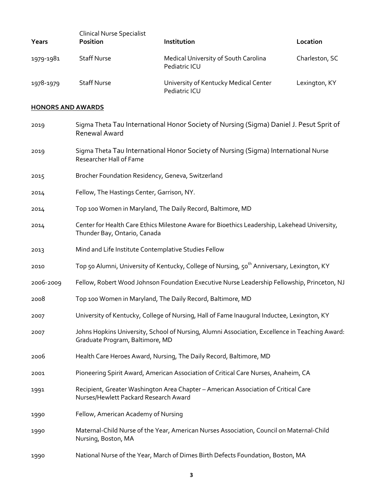| Years                    | <b>Clinical Nurse Specialist</b><br><b>Position</b>  | Institution                                                                                            | Location       |
|--------------------------|------------------------------------------------------|--------------------------------------------------------------------------------------------------------|----------------|
| 1979-1981                | <b>Staff Nurse</b>                                   | Medical University of South Carolina<br>Pediatric ICU                                                  | Charleston, SC |
| 1978-1979                | <b>Staff Nurse</b>                                   | University of Kentucky Medical Center<br>Pediatric ICU                                                 | Lexington, KY  |
| <b>HONORS AND AWARDS</b> |                                                      |                                                                                                        |                |
| 2019                     | <b>Renewal Award</b>                                 | Sigma Theta Tau International Honor Society of Nursing (Sigma) Daniel J. Pesut Sprit of                |                |
| 2019                     | Researcher Hall of Fame                              | Sigma Theta Tau International Honor Society of Nursing (Sigma) International Nurse                     |                |
| 2015                     | Brocher Foundation Residency, Geneva, Switzerland    |                                                                                                        |                |
| 2014                     | Fellow, The Hastings Center, Garrison, NY.           |                                                                                                        |                |
| 2014                     |                                                      | Top 100 Women in Maryland, The Daily Record, Baltimore, MD                                             |                |
| 2014                     | Thunder Bay, Ontario, Canada                         | Center for Health Care Ethics Milestone Aware for Bioethics Leadership, Lakehead University,           |                |
| 2013                     | Mind and Life Institute Contemplative Studies Fellow |                                                                                                        |                |
| 2010                     |                                                      | Top 50 Alumni, University of Kentucky, College of Nursing, 50 <sup>th</sup> Anniversary, Lexington, KY |                |
| 2006-2009                |                                                      | Fellow, Robert Wood Johnson Foundation Executive Nurse Leadership Fellowship, Princeton, NJ            |                |

- 2008 Top 100 Women in Maryland, The Daily Record, Baltimore, MD
- 2007 University of Kentucky, College of Nursing, Hall of Fame Inaugural Inductee, Lexington, KY
- 2007 Johns Hopkins University, School of Nursing, Alumni Association, Excellence in Teaching Award: Graduate Program, Baltimore, MD
- 2006 Health Care Heroes Award, Nursing, The Daily Record, Baltimore, MD
- 2001 Pioneering Spirit Award, American Association of Critical Care Nurses, Anaheim, CA
- 1991 Recipient, Greater Washington Area Chapter American Association of Critical Care Nurses/Hewlett Packard Research Award
- 1990 Fellow, American Academy of Nursing
- 1990 Maternal-Child Nurse of the Year, American Nurses Association, Council on Maternal-Child Nursing, Boston, MA
- 1990 National Nurse of the Year, March of Dimes Birth Defects Foundation, Boston, MA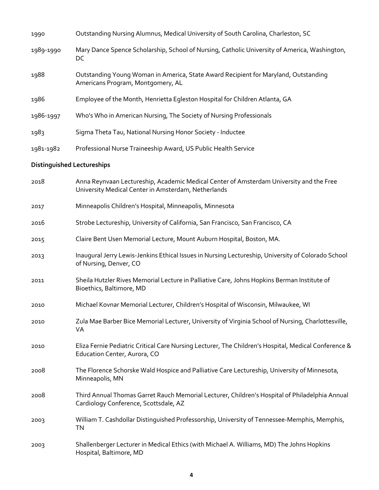| 1990                              | Outstanding Nursing Alumnus, Medical University of South Carolina, Charleston, SC                                                              |
|-----------------------------------|------------------------------------------------------------------------------------------------------------------------------------------------|
| 1989-1990                         | Mary Dance Spence Scholarship, School of Nursing, Catholic University of America, Washington,<br>DC                                            |
| 1988                              | Outstanding Young Woman in America, State Award Recipient for Maryland, Outstanding<br>Americans Program, Montgomery, AL                       |
| 1986                              | Employee of the Month, Henrietta Egleston Hospital for Children Atlanta, GA                                                                    |
| 1986-1997                         | Who's Who in American Nursing, The Society of Nursing Professionals                                                                            |
| 1983                              | Sigma Theta Tau, National Nursing Honor Society - Inductee                                                                                     |
| 1981-1982                         | Professional Nurse Traineeship Award, US Public Health Service                                                                                 |
| <b>Distinguished Lectureships</b> |                                                                                                                                                |
| 2018                              | Anna Reynvaan Lectureship, Academic Medical Center of Amsterdam University and the Free<br>University Medical Center in Amsterdam, Netherlands |
| 2017                              | Minneapolis Children's Hospital, Minneapolis, Minnesota                                                                                        |
| 2016                              | Strobe Lectureship, University of California, San Francisco, San Francisco, CA                                                                 |
| 2015                              | Claire Bent Usen Memorial Lecture, Mount Auburn Hospital, Boston, MA.                                                                          |
| 2013                              | Inaugural Jerry Lewis-Jenkins Ethical Issues in Nursing Lectureship, University of Colorado School<br>of Nursing, Denver, CO                   |
| 2011                              | Sheila Hutzler Rives Memorial Lecture in Palliative Care, Johns Hopkins Berman Institute of<br>Bioethics, Baltimore, MD                        |
| 2010                              | Michael Kovnar Memorial Lecturer, Children's Hospital of Wisconsin, Milwaukee, WI                                                              |
| 2010                              | Zula Mae Barber Bice Memorial Lecturer, University of Virginia School of Nursing, Charlottesville,<br>VA                                       |
| 2010                              | Eliza Fernie Pediatric Critical Care Nursing Lecturer, The Children's Hospital, Medical Conference &<br>Education Center, Aurora, CO           |
| 2008                              | The Florence Schorske Wald Hospice and Palliative Care Lectureship, University of Minnesota,<br>Minneapolis, MN                                |
| 2008                              | Third Annual Thomas Garret Rauch Memorial Lecturer, Children's Hospital of Philadelphia Annual<br>Cardiology Conference, Scottsdale, AZ        |
| 2003                              | William T. Cashdollar Distinguished Professorship, University of Tennessee-Memphis, Memphis,<br><b>TN</b>                                      |
| 2003                              | Shallenberger Lecturer in Medical Ethics (with Michael A. Williams, MD) The Johns Hopkins<br>Hospital, Baltimore, MD                           |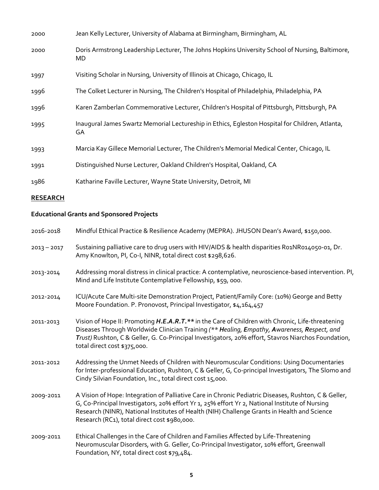| 2000            | Jean Kelly Lecturer, University of Alabama at Birmingham, Birmingham, AL                                                                                                                                                                                                                                                                              |
|-----------------|-------------------------------------------------------------------------------------------------------------------------------------------------------------------------------------------------------------------------------------------------------------------------------------------------------------------------------------------------------|
| 2000            | Doris Armstrong Leadership Lecturer, The Johns Hopkins University School of Nursing, Baltimore,<br>MD                                                                                                                                                                                                                                                 |
| 1997            | Visiting Scholar in Nursing, University of Illinois at Chicago, Chicago, IL                                                                                                                                                                                                                                                                           |
| 1996            | The Colket Lecturer in Nursing, The Children's Hospital of Philadelphia, Philadelphia, PA                                                                                                                                                                                                                                                             |
| 1996            | Karen Zamberlan Commemorative Lecturer, Children's Hospital of Pittsburgh, Pittsburgh, PA                                                                                                                                                                                                                                                             |
| 1995            | Inaugural James Swartz Memorial Lectureship in Ethics, Egleston Hospital for Children, Atlanta,<br>GA                                                                                                                                                                                                                                                 |
| 1993            | Marcia Kay Gillece Memorial Lecturer, The Children's Memorial Medical Center, Chicago, IL                                                                                                                                                                                                                                                             |
| 1991            | Distinguished Nurse Lecturer, Oakland Children's Hospital, Oakland, CA                                                                                                                                                                                                                                                                                |
| 1986            | Katharine Faville Lecturer, Wayne State University, Detroit, MI                                                                                                                                                                                                                                                                                       |
| <b>RESEARCH</b> |                                                                                                                                                                                                                                                                                                                                                       |
|                 | <b>Educational Grants and Sponsored Projects</b>                                                                                                                                                                                                                                                                                                      |
| 2016-2018       | Mindful Ethical Practice & Resilience Academy (MEPRA). JHUSON Dean's Award, \$150,000.                                                                                                                                                                                                                                                                |
| $2013 - 2017$   | Sustaining palliative care to drug users with HIV/AIDS & health disparities R01NR014050-01, Dr.<br>Amy Knowlton, PI, Co-I, NINR, total direct cost \$298,626.                                                                                                                                                                                         |
| 2013-2014       | Addressing moral distress in clinical practice: A contemplative, neuroscience-based intervention. PI,<br>Mind and Life Institute Contemplative Fellowship, \$59, 000.                                                                                                                                                                                 |
| 2012-2014       | ICU/Acute Care Multi-site Demonstration Project, Patient/Family Core: (10%) George and Betty<br>Moore Foundation. P. Pronovost, Principal Investigator, \$4,164,457                                                                                                                                                                                   |
| 2011-2013       | Vision of Hope II: Promoting H.E.A.R.T.** in the Care of Children with Chronic, Life-threatening<br>Diseases Through Worldwide Clinician Training (** Healing, Empathy, Awareness, Respect, and<br>Trust) Rushton, C & Geller, G. Co-Principal Investigators, 20% effort, Stavros Niarchos Foundation,<br>total direct cost \$375,000.                |
| 2011-2012       | Addressing the Unmet Needs of Children with Neuromuscular Conditions: Using Documentaries<br>for Inter-professional Education, Rushton, C & Geller, G, Co-principal Investigators, The Slomo and<br>Cindy Silvian Foundation, Inc., total direct cost 15,000.                                                                                         |
| 2009-2011       | A Vision of Hope: Integration of Palliative Care in Chronic Pediatric Diseases, Rushton, C & Geller,<br>G, Co-Principal Investigators, 20% effort Yr 1, 25% effort Yr 2, National Institute of Nursing<br>Research (NINR), National Institutes of Health (NIH) Challenge Grants in Health and Science<br>Research (RC1), total direct cost \$980,000. |
| 2009-2011       | Ethical Challenges in the Care of Children and Families Affected by Life-Threatening<br>Neuromuscular Disorders, with G. Geller, Co-Principal Investigator, 10% effort, Greenwall<br>Foundation, NY, total direct cost \$79,484.                                                                                                                      |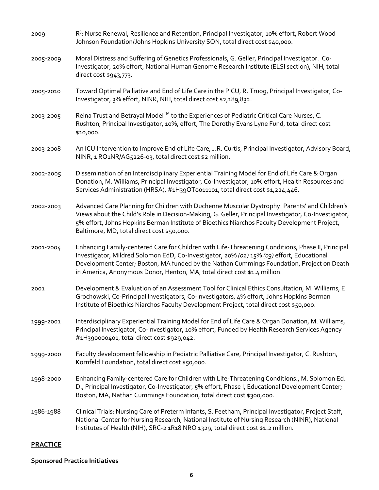| 2009            | R <sup>3</sup> : Nurse Renewal, Resilience and Retention, Principal Investigator, 10% effort, Robert Wood<br>Johnson Foundation/Johns Hopkins University SON, total direct cost \$40,000.                                                                                                                                                                                |
|-----------------|--------------------------------------------------------------------------------------------------------------------------------------------------------------------------------------------------------------------------------------------------------------------------------------------------------------------------------------------------------------------------|
| 2005-2009       | Moral Distress and Suffering of Genetics Professionals, G. Geller, Principal Investigator. Co-<br>Investigator, 20% effort, National Human Genome Research Institute (ELSI section), NIH, total<br>direct cost \$943,773.                                                                                                                                                |
| 2005-2010       | Toward Optimal Palliative and End of Life Care in the PICU, R. Truog, Principal Investigator, Co-<br>Investigator, 3% effort, NINR, NIH, total direct cost \$2,189,832.                                                                                                                                                                                                  |
| 2003-2005       | Reina Trust and Betrayal Model™ to the Experiences of Pediatric Critical Care Nurses, C.<br>Rushton, Principal Investigator, 10%, effort, The Dorothy Evans Lyne Fund, total direct cost<br>\$10,000.                                                                                                                                                                    |
| 2003-2008       | An ICU Intervention to Improve End of Life Care, J.R. Curtis, Principal Investigator, Advisory Board,<br>NINR, 1 RO1NR/AG5226-03, total direct cost \$2 million.                                                                                                                                                                                                         |
| 2002-2005       | Dissemination of an Interdisciplinary Experiential Training Model for End of Life Care & Organ<br>Donation, M. Williams, Principal Investigator, Co-Investigator, 10% effort, Health Resources and<br>Services Administration (HRSA), #1H39OT0011101, total direct cost \$1,224,446.                                                                                     |
| 2002-2003       | Advanced Care Planning for Children with Duchenne Muscular Dystrophy: Parents' and Children's<br>Views about the Child's Role in Decision-Making, G. Geller, Principal Investigator, Co-Investigator,<br>5% effort, Johns Hopkins Berman Institute of Bioethics Niarchos Faculty Development Project,<br>Baltimore, MD, total direct cost \$50,000.                      |
| 2001-2004       | Enhancing Family-centered Care for Children with Life-Threatening Conditions, Phase II, Principal<br>Investigator, Mildred Solomon EdD, Co-Investigator, 20% (02) 15% (03) effort, Educational<br>Development Center; Boston, MA funded by the Nathan Cummings Foundation, Project on Death<br>in America, Anonymous Donor, Henton, MA, total direct cost \$1.4 million. |
| 2001            | Development & Evaluation of an Assessment Tool for Clinical Ethics Consultation, M. Williams, E.<br>Grochowski, Co-Principal Investigators, Co-Investigators, 4% effort, Johns Hopkins Berman<br>Institute of Bioethics Niarchos Faculty Development Project, total direct cost \$50,000.                                                                                |
| 1999-2001       | Interdisciplinary Experiential Training Model for End of Life Care & Organ Donation, M. Williams,<br>Principal Investigator, Co-Investigator, 10% effort, Funded by Health Research Services Agency<br>#1H390000401, total direct cost \$929,042.                                                                                                                        |
| 1999-2000       | Faculty development fellowship in Pediatric Palliative Care, Principal Investigator, C. Rushton,<br>Kornfeld Foundation, total direct cost \$50,000.                                                                                                                                                                                                                     |
| 1998-2000       | Enhancing Family-centered Care for Children with Life-Threatening Conditions., M. Solomon Ed.<br>D., Principal Investigator, Co-Investigator, 5% effort, Phase I, Educational Development Center;<br>Boston, MA, Nathan Cummings Foundation, total direct cost \$300,000.                                                                                                |
| 1986-1988       | Clinical Trials: Nursing Care of Preterm Infants, S. Feetham, Principal Investigator, Project Staff,<br>National Center for Nursing Research, National Institute of Nursing Research (NINR), National<br>Institutes of Health (NIH), SRC-2 1R18 NRO 1329, total direct cost \$1.2 million.                                                                               |
| <b>PRACTICE</b> |                                                                                                                                                                                                                                                                                                                                                                          |

# **Sponsored Practice Initiatives**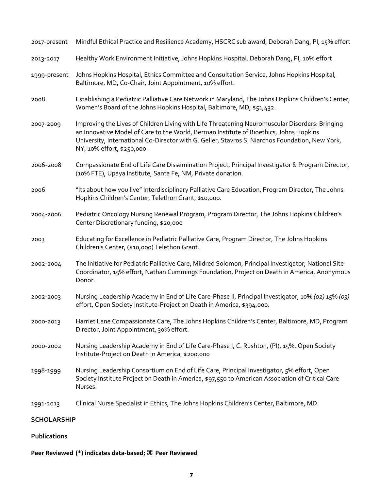| <b>SCHOLARSHIP</b> |                                                                                                                                                                                                                                                                                                                           |
|--------------------|---------------------------------------------------------------------------------------------------------------------------------------------------------------------------------------------------------------------------------------------------------------------------------------------------------------------------|
| 1991-2013          | Clinical Nurse Specialist in Ethics, The Johns Hopkins Children's Center, Baltimore, MD.                                                                                                                                                                                                                                  |
| 1998-1999          | Nursing Leadership Consortium on End of Life Care, Principal Investigator, 5% effort, Open<br>Society Institute Project on Death in America, \$97,550 to American Association of Critical Care<br>Nurses.                                                                                                                 |
| 2000-2002          | Nursing Leadership Academy in End of Life Care-Phase I, C. Rushton, (PI), 15%, Open Society<br>Institute-Project on Death in America, \$200,000                                                                                                                                                                           |
| 2000-2013          | Harriet Lane Compassionate Care, The Johns Hopkins Children's Center, Baltimore, MD, Program<br>Director, Joint Appointment, 30% effort.                                                                                                                                                                                  |
| 2002-2003          | Nursing Leadership Academy in End of Life Care-Phase II, Principal Investigator, 10% (02) 15% (03)<br>effort, Open Society Institute-Project on Death in America, \$394,000.                                                                                                                                              |
| 2002-2004          | The Initiative for Pediatric Palliative Care, Mildred Solomon, Principal Investigator, National Site<br>Coordinator, 15% effort, Nathan Cummings Foundation, Project on Death in America, Anonymous<br>Donor.                                                                                                             |
| 2003               | Educating for Excellence in Pediatric Palliative Care, Program Director, The Johns Hopkins<br>Children's Center, (\$10,000) Telethon Grant.                                                                                                                                                                               |
| 2004-2006          | Pediatric Oncology Nursing Renewal Program, Program Director, The Johns Hopkins Children's<br>Center Discretionary funding, \$20,000                                                                                                                                                                                      |
| 2006               | "Its about how you live" Interdisciplinary Palliative Care Education, Program Director, The Johns<br>Hopkins Children's Center, Telethon Grant, \$10,000.                                                                                                                                                                 |
| 2006-2008          | Compassionate End of Life Care Dissemination Project, Principal Investigator & Program Director,<br>(10% FTE), Upaya Institute, Santa Fe, NM, Private donation.                                                                                                                                                           |
| 2007-2009          | Improving the Lives of Children Living with Life Threatening Neuromuscular Disorders: Bringing<br>an Innovative Model of Care to the World, Berman Institute of Bioethics, Johns Hopkins<br>University, International Co-Director with G. Geller, Stavros S. Niarchos Foundation, New York,<br>NY, 10% effort, \$250,000. |
| 2008               | Establishing a Pediatric Palliative Care Network in Maryland, The Johns Hopkins Children's Center,<br>Women's Board of the Johns Hopkins Hospital, Baltimore, MD, \$51,432.                                                                                                                                               |
| 1999-present       | Johns Hopkins Hospital, Ethics Committee and Consultation Service, Johns Hopkins Hospital,<br>Baltimore, MD, Co-Chair, Joint Appointment, 10% effort.                                                                                                                                                                     |
| 2013-2017          | Healthy Work Environment Initiative, Johns Hopkins Hospital. Deborah Dang, PI, 10% effort                                                                                                                                                                                                                                 |
| 2017-present       | Mindful Ethical Practice and Resilience Academy, HSCRC sub award, Deborah Dang, PI, 15% effort                                                                                                                                                                                                                            |

### **Publications**

## **Peer Reviewed (\*) indicates data-based; ⌘ Peer Reviewed**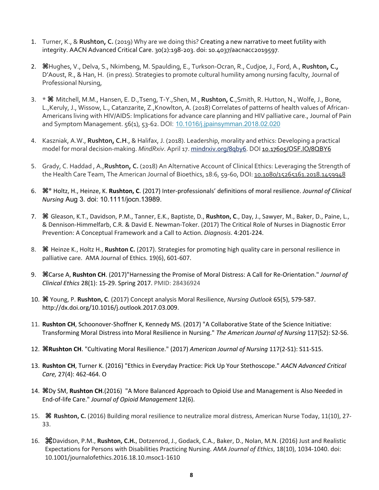- 1. Turner, K., & **Rushton, C.** (2019) Why are we doing this? Creating a new narrative to meet futility with integrity. AACN Advanced Critical Care. 30(2):198-203. doi: 10.4037/aacnacc2019597.
- 2. **⌘**Hughes, V., Delva, S., Nkimbeng, M. Spaulding, E., Turkson-Ocran, R., Cudjoe, J., Ford, A., **Rushton, C.,** D'Aoust, R., & Han, H. (in press). Strategies to promote cultural humility among nursing faculty, Journal of Professional Nursing,
- 3. \* **⌘** Mitchell, M.M., Hansen, E. D.,Tseng, T-Y.,Shen, M., **Rushton, C**.,Smith, R. Hutton, N., Wolfe, J., Bone, L.,Keruly, J., Wissow, L., Catanzarite, Z.,Knowlton, A. (2018) Correlates of patterns of health values of African-Americans living with HIV/AIDS: Implications for advance care planning and HIV palliative care., Journal of Pain and Symptom Management. 56(1), 53-62. DOI: 10.1016/j.jpainsymman.2018.02.020
- 4. Kaszniak, A.W., **Rushton, C.H**., & Halifax, J. (2018). Leadership, morality and ethics: Developing a practical model for moral decision-making. *MindRxiv*. April 17. mindrxiv.org/8qby6. DOI 10.17605/OSF.IO/8QBY6
- 5. Grady, C. Haddad , A.,**Rushton, C.** (2018) An Alternative Account of Clinical Ethics: Leveraging the Strength of the Health Care Team, The American Journal of Bioethics, 18:6, 59-60, DOI: 10.1080/15265161.2018.1459948
- 6. **⌘\*** Holtz, H., Heinze, K. **Rushton, C**. (2017) Inter-professionals' definitions of moral resilience. *Journal of Clinical Nursing* Aug 3. doi: 10.1111/jocn.13989.
- 7. **⌘** Gleason, K.T., Davidson, P.M., Tanner, E.K., Baptiste, D., **Rushton, C**., Day, J., Sawyer, M., Baker, D., Paine, L., & Dennison-Himmelfarb, C.R. & David E. Newman-Toker. (2017) The Critical Role of Nurses in Diagnostic Error Prevention: A Conceptual Framework and a Call to Action. *Diagnosis*. 4:201-224.
- 8. **⌘** Heinze K., Holtz H., **Rushton C.** (2017). Strategies for promoting high quality care in personal resilience in palliative care. AMA Journal of Ethics. 19(6), 601-607.
- 9. **⌘**Carse A, **Rushton CH**. (2017)"Harnessing the Promise of Moral Distress: A Call for Re-Orientation." *Journal of Clinical Ethics* 28(1): 15-29. Spring 2017. PMID: 28436924
- 10. **⌘** Young, P. **Rushton, C**. (2017) Concept analysis Moral Resilience, *Nursing Outlook* 65(5), 579-587. http://dx.doi.org/10.1016/j.outlook.2017.03.009.
- 11. **Rushton CH**, Schoonover-Shoffner K, Kennedy MS. (2017) "A Collaborative State of the Science Initiative: Transforming Moral Distress into Moral Resilience in Nursing." *The American Journal of Nursing* 117(S2): S2-S6.
- 12. **⌘Rushton CH**. "Cultivating Moral Resilience." (2017) *American Journal of Nursing* 117(2-S1): S11-S15.
- 13. **Rushton CH**, Turner K. (2016) "Ethics in Everyday Practice: Pick Up Your Stethoscope." *AACN Advanced Critical Care,* 27(4): 462-464. O
- 14. **⌘**Dy SM, **Rushton CH**.(2016) "A More Balanced Approach to Opioid Use and Management is Also Needed in End-of-life Care." *Journal of Opioid Management* 12(6).
- 15. **⌘ Rushton, C.** (2016) Building moral resilience to neutralize moral distress, American Nurse Today, 11(10), 27- 33.
- 16. ⌘Davidson, P.M., **Rushton, C.H.**, Dotzenrod, J., Godack, C.A., Baker, D., Nolan, M.N. (2016) Just and Realistic Expectations for Persons with Disabilities Practicing Nursing. *AMA Journal of Ethics*, 18(10), 1034-1040. doi: 10.1001/journalofethics.2016.18.10.msoc1-1610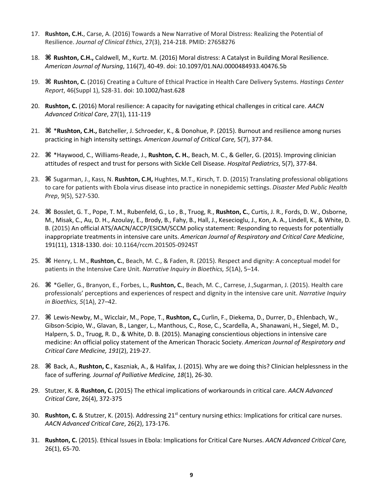- 17. **Rushton, C.H.**, Carse, A. (2016) Towards a New Narrative of Moral Distress: Realizing the Potential of Resilience. *Journal of Clinical Ethics*, 27(3), 214-218. PMID: 27658276
- 18. **⌘ Rushton, C.H.,** Caldwell, M., Kurtz. M. (2016) Moral distress: A Catalyst in Building Moral Resilience. *American Journal of Nursing*, 116(7), 40-49. doi: 10.1097/01.NAJ.0000484933.40476.5b
- 19. **⌘ Rushton, C.** (2016) Creating a Culture of Ethical Practice in Health Care Delivery Systems. *Hastings Center Report*, 46(Suppl 1), S28-31. doi: 10.1002/hast.628
- 20. **Rushton, C.** (2016) Moral resilience: A capacity for navigating ethical challenges in critical care. *AACN Advanced Critical Care*, 27(1), 111-119
- 21. **⌘** \***Rushton, C.H.,** Batcheller, J. Schroeder, K., & Donohue, P. (2015). Burnout and resilience among nurses practicing in high intensity settings. *American Journal of Critical Care,* 5(7), 377-84.
- 22. **⌘** \*Haywood, C., Williams-Reade, J., **Rushton, C. H.**, Beach, M. C., & Geller, G. (2015). Improving clinician attitudes of respect and trust for persons with Sickle Cell Disease. *Hospital Pediatrics*, 5(7), 377-84.
- 23. **⌘** Sugarman, J., Kass, N. **Rushton, C.H,** Hughtes, M.T., Kirsch, T. D. (2015) Translating professional obligations to care for patients with Ebola virus disease into practice in nonepidemic settings. *Disaster Med Public Health Prep*, 9(5), 527-530.
- 24. **⌘** Bosslet, G. T., Pope, T. M., Rubenfeld, G., Lo , B., Truog, R., **Rushton, C.**, Curtis, J. R., Fords, D. W., Osborne, M., Misak, C., Au, D. H., Azoulay, E., Brody, B., Fahy, B., Hall, J., Kesecioglu, J., Kon, A. A., Lindell, K., & White, D. B. (2015) An official ATS/AACN/ACCP/ESICM/SCCM policy statement: Responding to requests for potentially inappropriate treatments in intensive care units. *American Journal of Respiratory and Critical Care Medicine*, 191(11), 1318-1330. doi: 10.1164/rccm.201505-0924ST
- 25. **⌘** Henry, L. M., **Rushton, C.**, Beach, M. C., & Faden, R. (2015). Respect and dignity: A conceptual model for patients in the Intensive Care Unit. *Narrative Inquiry in Bioethics, 5*(1A), 5–14.
- 26. **⌘** \*Geller, G., Branyon, E., Forbes, L., **Rushton, C.**, Beach, M. C., Carrese, J.,Sugarman, J. (2015). Health care professionals' perceptions and experiences of respect and dignity in the intensive care unit. *Narrative Inquiry in Bioethics, 5*(1A), 27–42.
- 27. **⌘** Lewis-Newby, M., Wicclair, M., Pope, T., **Rushton, C.,** Curlin, F., Diekema, D., Durrer, D., Ehlenbach, W., Gibson-Scipio, W., Glavan, B., Langer, L., Manthous, C., Rose, C., Scardella, A., Shanawani, H., Siegel, M. D., Halpern, S. D., Truog, R. D., & White, D. B. (2015). Managing conscientious objections in intensive care medicine: An official policy statement of the American Thoracic Society. *American Journal of Respiratory and Critical Care Medicine, 191*(2), 219-27.
- 28. **⌘** Back, A., **Rushton, C**., Kaszniak, A., & Halifax, J. (2015). Why are we doing this? Clinician helplessness in the face of suffering*. Journal of Palliative Medicine, 18*(1), 26-30.
- 29. Stutzer, K. & **Rushton, C.** (2015) The ethical implications of workarounds in critical care. *AACN Advanced Critical Care*, 26(4), 372-375
- 30. **Rushton, C.** & Stutzer, K. (2015). Addressing 21st century nursing ethics: Implications for critical care nurses. *AACN Advanced Critical Care*, 26(2), 173-176.
- 31. **Rushton, C.** (2015). Ethical Issues in Ebola: Implications for Critical Care Nurses. *AACN Advanced Critical Care,*  26(1), 65-70.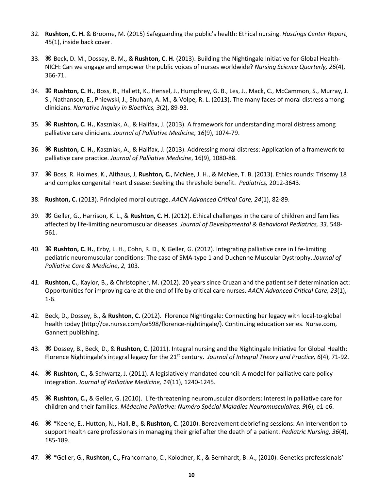- 32. **Rushton, C. H.** & Broome, M. (2015) Safeguarding the public's health: Ethical nursing. *Hastings Center Report*, 45(1), inside back cover.
- 33. **⌘** Beck, D. M., Dossey, B. M., & **Rushton, C. H**. (2013). Building the Nightingale Initiative for Global Health-NICH: Can we engage and empower the public voices of nurses worldwide? *Nursing Science Quarterly, 26*(4), 366-71.
- 34. **⌘ Rushton, C. H.**, Boss, R., Hallett, K., Hensel, J., Humphrey, G. B., Les, J., Mack, C., McCammon, S., Murray, J. S., Nathanson, E., Pniewski, J., Shuham, A. M., & Volpe, R. L. (2013). The many faces of moral distress among clinicians. *Narrative Inquiry in Bioethics, 3*(2), 89-93.
- 35. **⌘ Rushton, C. H.**, Kaszniak, A., & Halifax, J. (2013). A framework for understanding moral distress among palliative care clinicians. *Journal of Palliative Medicine, 16*(9), 1074-79.
- 36. **⌘ Rushton, C. H.**, Kaszniak, A., & Halifax, J. (2013). Addressing moral distress: Application of a framework to palliative care practice. *Journal of Palliative Medicine*, 16(9), 1080-88.
- 37. **⌘** Boss, R. Holmes, K., Althaus, J, **Rushton, C.**, McNee, J. H., & McNee, T. B. (2013). Ethics rounds: Trisomy 18 and complex congenital heart disease: Seeking the threshold benefit. *Pediatrics,* 2012-3643.
- 38. **Rushton, C.** (2013). Principled moral outrage. *AACN Advanced Critical Care, 24*(1), 82-89.
- 39. **⌘** Geller, G., Harrison, K. L., & **Rushton, C. H**. (2012). Ethical challenges in the care of children and families affected by life-limiting neuromuscular diseases. *Journal of Developmental & Behavioral Pediatrics, 33,* 548- 561.
- 40. **⌘ Rushton, C. H.**, Erby, L. H., Cohn, R. D., & Geller, G. (2012). Integrating palliative care in life-limiting pediatric neuromuscular conditions: The case of SMA-type 1 and Duchenne Muscular Dystrophy. *Journal of Palliative Care & Medicine*, *2,* 103.
- 41. **Rushton, C.**, Kaylor, B., & Christopher, M. (2012). 20 years since Cruzan and the patient self determination act: Opportunities for improving care at the end of life by critical care nurses. *AACN Advanced Critical Care, 23*(1), 1-6.
- 42. Beck, D., Dossey, B., & **Rushton, C.** (2012). Florence Nightingale: Connecting her legacy with local-to-global health today (http://ce.nurse.com/ce598/florence-nightingale/). Continuing education series. Nurse.com, Gannett publishing.
- 43. **⌘** Dossey, B., Beck, D., & **Rushton, C.** (2011). Integral nursing and the Nightingale Initiative for Global Health: Florence Nightingale's integral legacy for the 21<sup>st</sup> century. *Journal of Integral Theory and Practice, 6*(4), 71-92.
- 44. **⌘ Rushton, C.,** & Schwartz, J. (2011). A legislatively mandated council: A model for palliative care policy integration. *Journal of Palliative Medicine, 14*(11), 1240-1245.
- 45. **⌘ Rushton, C.,** & Geller, G. (2010). Life-threatening neuromuscular disorders: Interest in palliative care for children and their families. *Médecine Palliative: Numéro Spécial Maladies Neuromusculaires, 9*(6), e1-e6.
- 46. **⌘** \*Keene, E., Hutton, N., Hall, B., & **Rushton, C.** (2010). Bereavement debriefing sessions: An intervention to support health care professionals in managing their grief after the death of a patient. *Pediatric Nursing, 36*(4), 185-189.
- 47. **⌘** \*Geller, G., **Rushton, C.,** Francomano, C., Kolodner, K., & Bernhardt, B. A., (2010). Genetics professionals'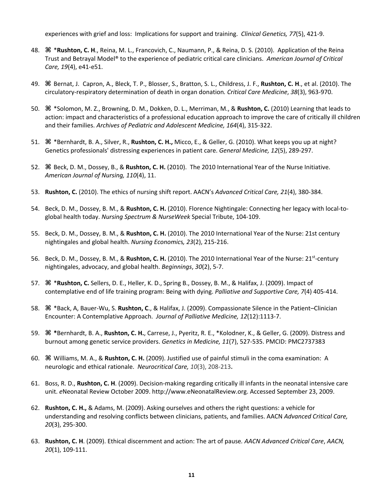experiences with grief and loss: Implications for support and training. *Clinical Genetics, 77*(5), 421-9.

- 48. **⌘** \***Rushton, C. H**., Reina, M. L., Francovich, C., Naumann, P., & Reina, D. S. (2010). Application of the Reina Trust and Betrayal Model® to the experience of pediatric critical care clinicians. *American Journal of Critical Care, 19*(4), e41-e51.
- 49. **⌘** Bernat, J. Capron, A., Bleck, T. P., Blosser, S., Bratton, S. L., Childress, J. F., **Rushton, C. H**., et al. (2010). The circulatory-respiratory determination of death in organ donation*. Critical Care Medicine*, *38*(3), 963-970.
- 50. **⌘** \*Solomon, M. Z., Browning, D. M., Dokken, D. L., Merriman, M., & **Rushton, C.** (2010) Learning that leads to action: impact and characteristics of a professional education approach to improve the care of critically ill children and their families. *Archives of Pediatric and Adolescent Medicine, 164*(4), 315-322.
- 51. **⌘** \*Bernhardt, B. A., Silver, R., **Rushton, C. H.,** Micco, E., & Geller, G. (2010). What keeps you up at night? Genetics professionals' distressing experiences in patient care. *General Medicine, 12*(5), 289-297.
- 52. **⌘** Beck, D. M., Dossey, B., & **Rushton, C. H.** (2010). The 2010 International Year of the Nurse Initiative. *American Journal of Nursing, 110*(4), 11.
- 53. **Rushton, C.** (2010). The ethics of nursing shift report. AACN's *Advanced Critical Care, 21*(4), 380-384.
- 54. Beck, D. M., Dossey, B. M., & **Rushton, C. H.** (2010). Florence Nightingale: Connecting her legacy with local-toglobal health today. *Nursing Spectrum & NurseWeek* Special Tribute, 104-109.
- 55. Beck, D. M., Dossey, B. M., & **Rushton, C. H.** (2010). The 2010 International Year of the Nurse: 21st century nightingales and global health. *Nursing Economic*s*, 23*(2), 215-216.
- 56. Beck, D. M., Dossey, B. M., & **Rushton, C. H.** (2010). The 2010 International Year of the Nurse: 21st-century nightingales, advocacy, and global health. *Beginnings*, *30*(2), 5-7.
- 57. **⌘** \***Rushton, C.** Sellers, D. E., Heller, K. D., Spring B., Dossey, B. M., & Halifax, J. (2009). Impact of contemplative end of life training program: Being with dying. *Palliative and Supportive Care, 7*(4) 405-414.
- 58. **⌘** \*Back, A, Bauer-Wu, S. **Rushton, C**., & Halifax, J. (2009). Compassionate Silence in the Patient–Clinician Encounter: A Contemplative Approach. *Journal of Palliative Medicine, 12*(12):1113-7.
- 59. **⌘ \***Bernhardt, B. A., **Rushton, C. H.**, Carrese, J., Pyeritz, R. E., \*Kolodner, K., & Geller, G. (2009). Distress and burnout among genetic service providers. *Genetics in Medicine, 11*(7), 527-535. PMCID: PMC2737383
- 60. **⌘** Williams, M. A., & **Rushton, C. H.** (2009). Justified use of painful stimuli in the coma examination: A neurologic and ethical rationale. *Neurocritical Care, 10*(3), 208-213**.**
- 61. Boss, R. D., **Rushton, C. H**. (2009). Decision-making regarding critically ill infants in the neonatal intensive care unit. *e*Neonatal Review October 2009. http://www.eNeonatalReview.org. Accessed September 23, 2009.
- 62. **Rushton, C. H.,** & Adams, M. (2009). Asking ourselves and others the right questions: a vehicle for understanding and resolving conflicts between clinicians, patients, and families. AACN *Advanced Critical Care, 20*(3), 295-300.
- 63. **Rushton, C. H**. (2009). Ethical discernment and action: The art of pause*. AACN Advanced Critical Care*, *AACN, 20*(1), 109-111.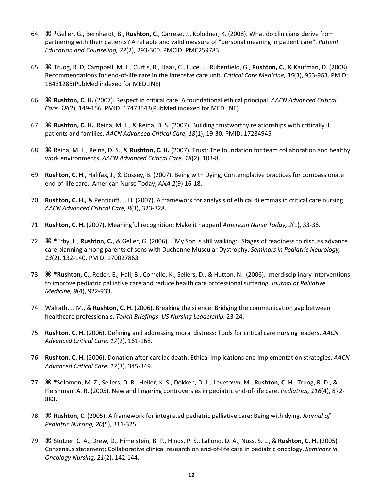- 64. **⌘ \***Geller, G., Bernhardt, B., **Rushton, C**., Carrese, J., Kolodner, K. (2008). What do clinicians derive from partnering with their patients? A reliable and valid measure of "personal meaning in patient care". *Patient Education and Counseling, 72*(2), 293-300. PMCID: PMC259783
- 65. **⌘** Truog, R. D, Campbell, M. L., Curtis, R., Haas, C., Luce, J., Rubenfield, G., **Rushton, C.**, & Kaufman, D. (2008). Recommendations for end-of-life care in the intensive care unit. *Critical Care Medicine, 36*(3), 953-963. PMID: 18431285(PubMed indexed for MEDLINE)
- 66. **⌘ Rushton, C. H.** (2007). Respect in critical care: A foundational ethical principal. *AACN Advanced Critical Care, 18*(2), 149-156. PMID: 17473543(PubMed indexed for MEDLINE)
- 67. **⌘ Rushton, C. H.**, Reina, M. L., & Reina, D. S. (2007). Building trustworthy relationships with critically ill patients and families. *AACN Advanced Critical Care, 18*(1), 19-30. PMID: 17284945
- 68. **⌘** Reina, M. L., Reina, D. S., & **Rushton, C. H.** (2007). Trust: The foundation for team collaboration and healthy work environments. *AACN Advanced Critical Care, 18*(2), 103-8.
- 69. **Rushton, C. H**., Halifax, J., & Dossey, B. (2007). Being with Dying, Contemplative practices for compassionate end-of-life care. American Nurse Today, *ANA 2*(9) 16-18.
- 70. **Rushton, C. H.,** & Penticuff, J. H. (2007). A framework for analysis of ethical dilemmas in critical care nursing. *AACN Advanced Critical Care, 8*(3), 323-328.
- 71. **Rushton, C. H.** (2007). Meaningful recognition: Make it happen! *American Nurse Today, 2*(1), 33-36.
- 72. **⌘ \***Erby, L., **Rushton, C.**, & Geller, G. (2006). "My Son is still walking:" Stages of readiness to discuss advance care planning among parents of sons with Duchenne Muscular Dystrophy. *Seminars in Pediatric Neurology, 13*(2), 132-140. PMID: 170027863
- 73. **⌘ \*Rushton, C.**, Reder, E., Hall, B., Comello, K., Sellers, D., & Hutton, N. (2006). Interdisciplinary interventions to improve pediatric palliative care and reduce health care professional suffering. *Journal of Palliative Medicine, 9*(4), 922-933.
- 74. Walrath, J. M., & **Rushton, C. H.** (2006). Breaking the silence: Bridging the communication gap between healthcare professionals. *Touch Briefings*. *US Nursing Leadership,* 23-24.
- 75. **Rushton, C. H.** (2006). Defining and addressing moral distress: Tools for critical care nursing leaders. *AACN Advanced Critical Care, 17*(2), 161-168.
- 76. **Rushton, C. H.** (2006). Donation after cardiac death: Ethical implications and implementation strategies. *AACN Advanced Critical Care, 17*(3), 345-349.
- 77. **⌘ \***Solomon, M. Z., Sellers, D. R., Heller, K. S., Dokken, D. L., Levetown, M., **Rushton, C. H.**, Truog, R. D., & Fleishman, A. R. (2005). New and lingering controversies in pediatric end-of-life care. *Pediatrics, 116*(4), 872- 883.
- 78. **⌘ Rushton, C**. (2005). A framework for integrated pediatric palliative care: Being with dying. *Journal of Pediatric Nursing, 20*(5), 311-325.
- 79. **⌘** Stutzer, C. A., Drew, D., Himelstein, B. P., Hinds, P. S., LaFond, D. A., Nuss, S. L., & **Rushton, C. H.** (2005). Consensus statement: Collaborative clinical research on end-of-life care in pediatric oncology. *Seminars in Oncology Nursing, 21*(2), 142-144.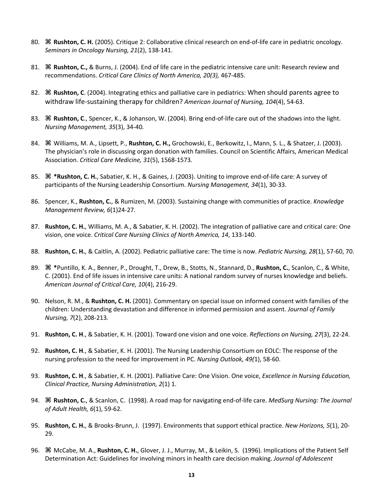- 80. **⌘ Rushton, C. H.** (2005). Critique 2: Collaborative clinical research on end-of-life care in pediatric oncology. *Seminars in Oncology Nursing, 21*(2), 138-141.
- 81. **⌘ Rushton, C.,** & Burns, J. (2004). End of life care in the pediatric intensive care unit: Research review and recommendations. *Critical Care Clinics of North America, 20(3),* 467-485.
- 82. **⌘ Rushton, C**. (2004). Integrating ethics and palliative care in pediatrics: When should parents agree to withdraw life-sustaining therapy for children? *American Journal of Nursing, 104*(4), 54-63.
- 83. **⌘ Rushton, C**., Spencer, K., & Johanson, W. (2004). Bring end-of-life care out of the shadows into the light. *Nursing Management, 35*(3), 34-40*.*
- 84. **⌘** Williams, M. A., Lipsett, P., **Rushton, C. H.,** Grochowski, E., Berkowitz, I., Mann, S. L., & Shatzer, J. (2003). The physician's role in discussing organ donation with families. Council on Scientific Affairs, American Medical Association. *Critical Care Medicine, 31*(5), 1568-1573*.*
- 85. **⌘ \*Rushton, C. H.**, Sabatier, K. H., & Gaines, J. (2003). Uniting to improve end-of-life care: A survey of participants of the Nursing Leadership Consortium. *Nursing Management, 34*(1), 30-33.
- 86. Spencer, K., **Rushton, C.**, & Rumizen, M. (2003). Sustaining change with communities of practice. *Knowledge Management Review, 6*(1)24-27.
- 87. **Rushton, C. H.**, Williams, M. A., & Sabatier, K. H. (2002). The integration of palliative care and critical care: One vision, one voice. *Critical Care Nursing Clinics of North America, 14*, 133-140.
- 88. **Rushton, C. H.**, & Caitlin, A. (2002). Pediatric palliative care: The time is now. *Pediatric Nursing, 28*(1), 57-60, 70.
- 89. **⌘ \***Puntillo, K. A., Benner, P., Drought, T., Drew, B., Stotts, N., Stannard, D., **Rushton, C.**, Scanlon, C., & White, C. (2001). End of life issues in intensive care units: A national random survey of nurses knowledge and beliefs. *American Journal of Critical Care, 10*(4), 216-29.
- 90. Nelson, R. M., & **Rushton, C. H.** (2001). Commentary on special issue on informed consent with families of the children: Understanding devastation and difference in informed permission and assent. *Journal of Family Nursing, 7*(2), 208-213*.*
- 91. **Rushton, C. H**., & Sabatier, K. H. (2001). Toward one vision and one voice. *Reflections on Nursing, 27*(3), 22-24.
- 92. **Rushton, C. H**., & Sabatier, K. H. (2001). The Nursing Leadership Consortium on EOLC: The response of the nursing profession to the need for improvement in PC. *Nursing Outlook, 49(*1), 58-60.
- 93. **Rushton, C. H**., & Sabatier, K. H. (2001). Palliative Care: One Vision. One voice, *Excellence in Nursing Education, Clinical Practice, Nursing Administration, 2*(1) 1.
- 94. **⌘ Rushton, C.**, & Scanlon, C. (1998). A road map for navigating end-of-life care. *MedSurg Nursing: The Journal of Adult Health, 6*(1), 59-62.
- 95. **Rushton, C. H.**, & Brooks-Brunn, J. (1997). Environments that support ethical practice. *New Horizons, 5*(1), 20- 29.
- 96. **⌘** McCabe, M. A., **Rushton, C. H.**, Glover, J. J., Murray, M., & Leikin, S. (1996). Implications of the Patient Self Determination Act: Guidelines for involving minors in health care decision making. *Journal of Adolescent*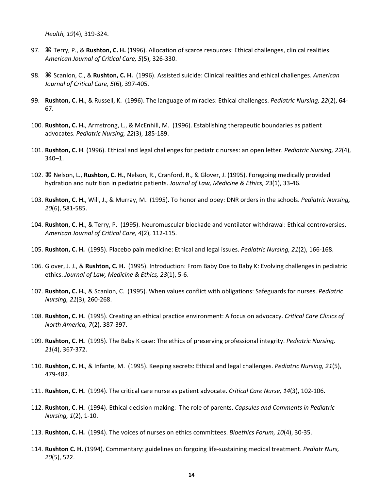*Health, 19*(4), 319-324.

- 97. **⌘** Terry, P., & **Rushton, C. H.** (1996). Allocation of scarce resources: Ethical challenges, clinical realities. *American Journal of Critical Care, 5*(5), 326-330.
- 98. **⌘** Scanlon, C., & **Rushton, C. H.** (1996). Assisted suicide: Clinical realities and ethical challenges. *American Journal of Critical Care, 5*(6), 397-405.
- 99. **Rushton, C. H.**, & Russell, K. (1996). The language of miracles: Ethical challenges. *Pediatric Nursing, 22*(2), 64- 67.
- 100. **Rushton, C. H.**, Armstrong, L., & McEnhill, M. (1996). Establishing therapeutic boundaries as patient advocates. *Pediatric Nursing, 22*(3), 185-189.
- 101. **Rushton, C. H**. (1996). Ethical and legal challenges for pediatric nurses: an open letter. *Pediatric Nursing, 22*(4), 340–1.
- 102. **⌘** Nelson, L., **Rushton, C. H.**, Nelson, R., Cranford, R., & Glover, J. (1995). Foregoing medically provided hydration and nutrition in pediatric patients. *Journal of Law, Medicine & Ethics, 23*(1), 33-46.
- 103. **Rushton, C. H.**, Will, J., & Murray, M. (1995). To honor and obey: DNR orders in the schools. *Pediatric Nursing, 20*(6), 581-585.
- 104. **Rushton, C. H.**, & Terry, P. (1995). Neuromuscular blockade and ventilator withdrawal: Ethical controversies. *American Journal of Critical Care, 4*(2), 112-115.
- 105. **Rushton, C. H.** (1995). Placebo pain medicine: Ethical and legal issues. *Pediatric Nursing, 21*(2), 166-168.
- 106. Glover, J. J., & **Rushton, C. H.** (1995). Introduction: From Baby Doe to Baby K: Evolving challenges in pediatric ethics. *Journal of Law, Medicine & Ethics, 23*(1), 5-6.
- 107. **Rushton, C. H.**, & Scanlon, C. (1995). When values conflict with obligations: Safeguards for nurses. *Pediatric Nursing, 21*(3), 260-268.
- 108. **Rushton, C. H.** (1995). Creating an ethical practice environment: A focus on advocacy. *Critical Care Clinics of North America, 7*(2), 387-397.
- 109. **Rushton, C. H.** (1995). The Baby K case: The ethics of preserving professional integrity. *Pediatric Nursing, 21*(4), 367-372.
- 110. **Rushton, C. H.**, & Infante, M. (1995). Keeping secrets: Ethical and legal challenges. *Pediatric Nursing, 21*(5), 479-482.
- 111. **Rushton, C. H.** (1994). The critical care nurse as patient advocate. *Critical Care Nurse, 14*(3), 102-106.
- 112. **Rushton, C. H.** (1994). Ethical decision-making: The role of parents. *Capsules and Comments in Pediatric Nursing, 1*(2), 1-10.
- 113. **Rushton, C. H.** (1994). The voices of nurses on ethics committees. *Bioethics Forum, 10*(4), 30-35.
- 114. **Rushton C. H.** (1994). Commentary: guidelines on forgoing life-sustaining medical treatment. *Pediatr Nurs, 20*(5), 522.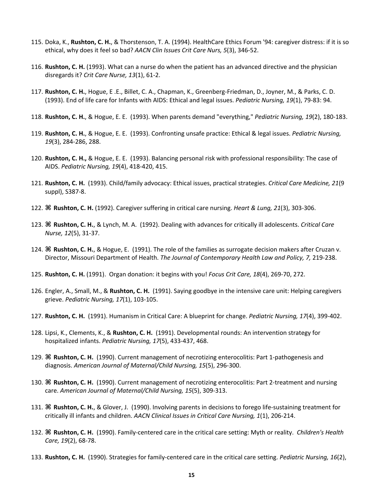- 115. Doka, K., **Rushton, C. H.**, & Thorstenson, T. A. (1994). HealthCare Ethics Forum '94: caregiver distress: if it is so ethical, why does it feel so bad? *AACN Clin Issues Crit Care Nurs, 5*(3), 346-52.
- 116. **Rushton, C. H.** (1993). What can a nurse do when the patient has an advanced directive and the physician disregards it? *Crit Care Nurse, 13*(1), 61-2.
- 117. **Rushton, C. H.**, Hogue, E .E., Billet, C. A., Chapman, K., Greenberg-Friedman, D., Joyner, M., & Parks, C. D. (1993). End of life care for Infants with AIDS: Ethical and legal issues. *Pediatric Nursing, 19*(1), 79-83: 94.
- 118. **Rushton, C. H.**, & Hogue, E. E. (1993). When parents demand "everything," *Pediatric Nursing, 19*(2), 180-183.
- 119. **Rushton, C. H.**, & Hogue, E. E. (1993). Confronting unsafe practice: Ethical & legal issues. *Pediatric Nursing, 19*(3), 284-286, 288.
- 120. **Rushton, C. H.,** & Hogue, E. E. (1993). Balancing personal risk with professional responsibility: The case of AIDS. *Pediatric Nursing, 19*(4), 418-420, 415.
- 121. **Rushton, C. H.** (1993). Child/family advocacy: Ethical issues, practical strategies. *Critical Care Medicine, 21*(9 suppl), S387-8.
- 122. **⌘ Rushton, C. H.** (1992). Caregiver suffering in critical care nursing. *Heart & Lung, 21*(3), 303-306.
- 123. **⌘ Rushton, C. H.**, & Lynch, M. A. (1992). Dealing with advances for critically ill adolescents. *Critical Care Nurse, 12*(5), 31-37.
- 124. **⌘ Rushton, C. H.**, & Hogue, E. (1991). The role of the families as surrogate decision makers after Cruzan v. Director, Missouri Department of Health. *The Journal of Contemporary Health Law and Policy, 7,* 219-238.
- 125. **Rushton, C. H.** (1991). Organ donation: it begins with you! *Focus Crit Care, 18*(4), 269-70, 272.
- 126. Engler, A., Small, M., & **Rushton, C. H.** (1991). Saying goodbye in the intensive care unit: Helping caregivers grieve. *Pediatric Nursing, 17*(1), 103-105.
- 127. **Rushton, C. H.** (1991). Humanism in Critical Care: A blueprint for change. *Pediatric Nursing, 17*(4), 399-402.
- 128. Lipsi, K., Clements, K., & **Rushton, C. H.** (1991). Developmental rounds: An intervention strategy for hospitalized infants. *Pediatric Nursing, 17*(5), 433-437, 468.
- 129. **⌘ Rushton, C. H.** (1990). Current management of necrotizing enterocolitis: Part 1-pathogenesis and diagnosis. *American Journal of Maternal/Child Nursing, 15*(5), 296-300.
- 130. **⌘ Rushton, C. H.** (1990). Current management of necrotizing enterocolitis: Part 2-treatment and nursing care. *American Journal of Maternal/Child Nursing, 15*(5), 309-313.
- 131. **⌘ Rushton, C. H.**, & Glover, J. (1990). Involving parents in decisions to forego life-sustaining treatment for critically ill infants and children. *AACN Clinical Issues in Critical Care Nursing, 1*(1), 206-214.
- 132. **⌘ Rushton, C. H.** (1990). Family-centered care in the critical care setting: Myth or reality. *Children's Health Care, 19*(2), 68-78.
- 133. **Rushton, C. H.** (1990). Strategies for family-centered care in the critical care setting. *Pediatric Nursing, 16*(2),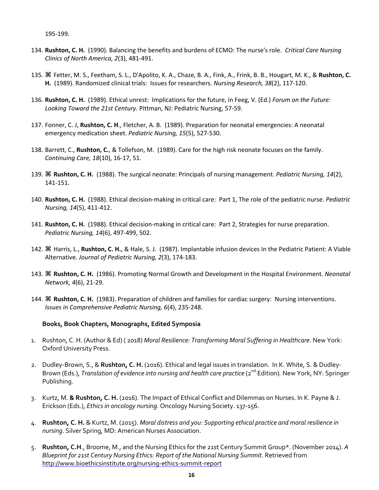- 134. **Rushton, C. H.** (1990). Balancing the benefits and burdens of ECMO: The nurse's role. *Critical Care Nursing Clinics of North America, 2*(3), 481-491.
- 135. **⌘** Fetter, M. S., Feetham, S. L., D'Apolito, K. A., Chaze, B. A., Fink, A., Frink, B. B., Hougart, M. K., & **Rushton, C. H.** (1989). Randomized clinical trials: Issues for researchers. *Nursing Research, 38*(2), 117-120.
- 136. **Rushton, C. H.** (1989). Ethical unrest: Implications for the future, in Feeg, V. (Ed.) *Forum on the Future: Looking Toward the 21st Century.* Pittman, NJ: Pediatric Nursing, 57-59.
- 137. Fonner, C. J, **Rushton, C. H**., Fletcher, A. B. (1989). Preparation for neonatal emergencies: A neonatal emergency medication sheet. *Pediatric Nursing, 15*(5), 527-530.
- 138. Barrett, C., **Rushton, C.**, & Tollefson, M. (1989). Care for the high risk neonate focuses on the family. *Continuing Care, 18*(10), 16-17, 51.
- 139. **⌘ Rushton, C. H.** (1988). The surgical neonate: Principals of nursing management. *Pediatric Nursing, 14*(2), 141-151.
- 140. **Rushton, C. H.** (1988). Ethical decision-making in critical care: Part 1, The role of the pediatric nurse. *Pediatric Nursing, 14*(5), 411-412.
- 141. **Rushton, C. H.** (1988). Ethical decision-making in critical care: Part 2, Strategies for nurse preparation. *Pediatric Nursing, 14*(6), 497-499, 502.
- 142. **⌘** Harris, L., **Rushton, C. H.**, & Hale, S. J. (1987). Implantable infusion devices In the Pediatric Patient: A Viable Alternative. *Journal of Pediatric Nursing, 2*(3), 174-183.
- 143. **⌘ Rushton, C. H.** (1986). Promoting Normal Growth and Development in the Hospital Environment. *Neonatal Network, 4*(6), 21-29.
- 144. **⌘ Rushton, C. H.** (1983). Preparation of children and families for cardiac surgery: Nursing interventions. *Issues in Comprehensive Pediatric Nursing, 6*(4), 235-248.

#### **Books, Book Chapters, Monographs, Edited Symposia**

- 1. Rushton, C. H. (Author & Ed) ( 2018) *Moral Resilience: Transforming Moral Suffering in Healthcare*. New York: Oxford University Press.
- 2. Dudley-Brown, S., & **Rushton, C. H.** (2016). Ethical and legal issues in translation. In K. White, S. & Dudley-Brown (Eds.), *Translation of evidence into nursing and health care practice* (2<sup>nd</sup> Edition). New York, NY: Springer Publishing.
- 3. Kurtz, M. **& Rushton, C. H.** (2016). The Impact of Ethical Conflict and Dilemmas on Nurses. In K. Payne & J. Erickson (Eds.), *Ethics in oncology nursing.* Oncology Nursing Society. 137-156.
- 4. **Rushton, C. H.** & Kurtz, M. (2015). *Moral distress and you: Supporting ethical practice and moral resilience in nursing*. Silver Spring, MD: American Nurses Association.
- 5. **Rushton, C.H**., Broome, M., and the Nursing Ethics for the 21st Century Summit Group\*. (November 2014). *A Blueprint for 21st Century Nursing Ethics: Report of the National Nursing Summit*. Retrieved from http://www.bioethicsinstitute.org/nursing-ethics-summit-report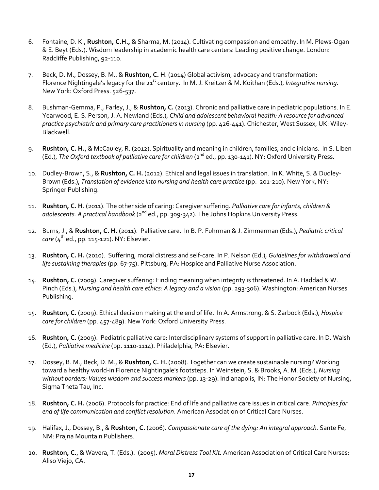- 6. Fontaine, D. K., **Rushton, C.H.,** & Sharma, M. (2014). Cultivating compassion and empathy. In M. Plews-Ogan & E. Beyt (Eds.). Wisdom leadership in academic health care centers: Leading positive change. London: Radcliffe Publishing, 92-110.
- 7. Beck, D. M., Dossey, B. M., & **Rushton, C. H**. (2014) Global activism, advocacy and transformation: Florence Nightingale's legacy for the 21<sup>st</sup> century. In M. J. Kreitzer & M. Koithan (Eds.), *Integrative nursing.* New York: Oxford Press. 526-537.
- 8. Bushman-Gemma, P., Farley, J., & **Rushton, C.** (2013). Chronic and palliative care in pediatric populations. In E. Yearwood, E. S. Person, J. A. Newland (Eds.), *Child and adolescent behavioral health: A resource for advanced practice psychiatric and primary care practitioners in nursing* (pp. 426-441). Chichester, West Sussex, UK: Wiley-Blackwell.
- 9. **Rushton, C. H.**, & McCauley, R. (2012). Spirituality and meaning in children, families, and clinicians. In S. Liben (Ed.), *The Oxford textbook of palliative care for children* (2<sup>nd</sup> ed., pp. 130-141). NY: Oxford University Press.
- 10. Dudley-Brown, S., & **Rushton, C. H.** (2012). Ethical and legal issues in translation. In K. White, S. & Dudley-Brown (Eds.), *Translation of evidence into nursing and health care practice* (pp. 201-210)*.* New York, NY: Springer Publishing.
- 11. **Rushton, C. H**. (2011). The other side of caring: Caregiver suffering*. Palliative care for infants, children &*  adolescents. A practical handbook (2<sup>nd</sup> ed., pp. 309-342). The Johns Hopkins University Press.
- 12. Burns, J., & **Rushton, C. H.** (2011). Palliative care. In B. P. Fuhrman & J. Zimmerman (Eds.), *Pediatric critical*   $care (4<sup>th</sup> ed., pp. 115-121). NY: Elsevier.$
- 13. **Rushton, C. H.** (2010). Suffering, moral distress and self-care. In P. Nelson (Ed.), *Guidelines for withdrawal and life sustaining therapies*(pp. 67-75). Pittsburg, PA: Hospice and Palliative Nurse Association.
- 14. **Rushton, C.** (2009). Caregiver suffering: Finding meaning when integrity is threatened. In A. Haddad & W. Pinch (Eds.), *Nursing and health care ethics: A legacy and a vision* (pp. 293-306). Washington: American Nurses Publishing.
- 15. **Rushton, C.** (2009). Ethical decision making at the end of life. In A. Armstrong, & S. Zarbock (Eds.), *Hospice care for children* (pp. 457-489). New York: Oxford University Press.
- 16. **Rushton, C.** (2009). Pediatric palliative care: Interdisciplinary systems of support in palliative care. In D. Walsh (Ed.), *Palliative medicine* (pp. 1110-1114). Philadelphia, PA: Elsevier.
- 17. Dossey, B. M., Beck, D. M., & **Rushton, C. H.** (2008). Together can we create sustainable nursing? Working toward a healthy world-in Florence Nightingale's footsteps. In Weinstein, S. & Brooks, A. M. (Eds.), *Nursing without borders: Values wisdom and success markers*(pp. 13-29). Indianapolis, IN: The Honor Society of Nursing, Sigma Theta Tau, Inc.
- 18. **Rushton, C. H.** (2006). Protocols for practice: End of life and palliative care issues in critical care. *Principles for end of life communication and conflict resolution*. American Association of Critical Care Nurses.
- 19. Halifax, J., Dossey, B., & **Rushton, C.** (2006). *Compassionate care of the dying: An integral approach.* Sante Fe, NM: Prajna Mountain Publishers.
- 20. **Rushton, C.**, & Wavera, T. (Eds.). (2005). *Moral Distress Tool Kit.* American Association of Critical Care Nurses: Aliso Viejo, CA.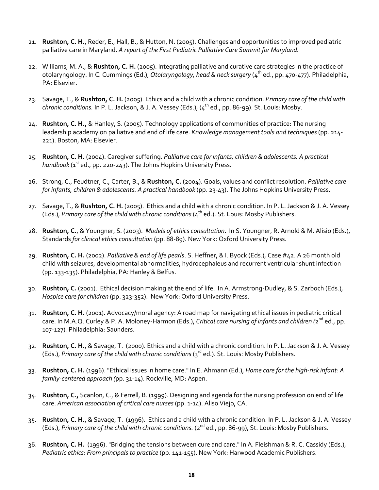- 21. **Rushton, C. H.**, Reder, E., Hall, B., & Hutton, N. (2005). Challenges and opportunities to improved pediatric palliative care in Maryland. *A report of the First Pediatric Palliative Care Summit for Maryland.*
- 22. Williams, M. A., & **Rushton, C. H.** (2005). Integrating palliative and curative care strategies in the practice of otolaryngology. In C. Cummings (Ed.), *Otolaryngology, head & neck surgery* (4<sup>th</sup> ed., pp. 470-477). Philadelphia, PA: Elsevier.
- 23. Savage, T., & **Rushton, C. H.** (2005). Ethics and a child with a chronic condition. *Primary care of the child with chronic conditions.* In P. L. Jackson, & J. A. Vessey (Eds.), (4th ed., pp. 86-99). St. Louis: Mosby.
- 24. **Rushton, C. H.,** & Hanley, S. (2005). Technology applications of communities of practice: The nursing leadership academy on palliative and end of life care. *Knowledge management tools and techniques* (pp. 214- 221). Boston, MA: Elsevier.
- 25. **Rushton, C. H.** (2004). Caregiver suffering. *Palliative care for infants, children & adolescents. A practical*   $handbook$  ( $1<sup>st</sup>$  ed., pp. 220-243). The Johns Hopkins University Press.
- 26. Strong, C., Feudtner, C., Carter, B., & **Rushton, C.** (2004). Goals, values and conflict resolution. *Palliative care for infants, children & adolescents. A practical handbook* (pp. 23-43). The Johns Hopkins University Press.
- 27. Savage, T., & **Rushton, C. H.** (2005). Ethics and a child with a chronic condition. In P. L. Jackson & J. A. Vessey (Eds.), *Primary care of the child with chronic conditions*(4th ed.). St. Louis: Mosby Publishers.
- 28. **Rushton, C.**, & Youngner, S. (2003). *Models of ethics consultation*. In S. Youngner, R. Arnold & M. Alisio (Eds.), Standards *for clinical ethics consultation* (pp. 88-89). New York: Oxford University Press.
- 29. **Rushton, C. H.** (2002). *Palliative & end of life pearls*. S. Heffner, & I. Byock (Eds.), Case #42. A 26 month old child with seizures, developmental abnormalities, hydrocephaleus and recurrent ventricular shunt infection (pp. 133-135). Philadelphia, PA: Hanley & Belfus.
- 30. **Rushton, C.** (2001). Ethical decision making at the end of life. In A. Armstrong-Dudley, & S. Zarboch (Eds.), *Hospice care for children* (pp. 323-352). New York: Oxford University Press.
- 31. **Rushton, C. H.** (2001). Advocacy/moral agency: A road map for navigating ethical issues in pediatric critical care. In M.A.Q. Curley & P. A. Moloney-Harmon (Eds.), *Critical care nursing of infants and children* (2<sup>nd</sup> ed., pp. 107-127)*.* Philadelphia: Saunders.
- 32. **Rushton, C. H.**, & Savage, T. (2000). Ethics and a child with a chronic condition. In P. L. Jackson & J. A. Vessey (Eds.), Primary care of the child with chronic conditions (3<sup>rd</sup> ed.). St. Louis: Mosby Publishers.
- 33. **Rushton, C. H.** (1996). "Ethical issues in home care." In E. Ahmann (Ed.), *Home care for the high-risk infant: A family-centered approach (*pp. 31-14). Rockville, MD: Aspen.
- 34. **Rushton, C.,** Scanlon, C., & Ferrell, B. (1999). Designing and agenda for the nursing profession on end of life care. *American association of critical care nurses* (pp. 1-14). Aliso Viejo, CA.
- 35. **Rushton, C. H.**, & Savage, T. (1996). Ethics and a child with a chronic condition. In P. L. Jackson & J. A. Vessey (Eds.), *Primary care of the child with chronic conditions.* (2nd ed., pp. 86-99), St. Louis: Mosby Publishers.
- 36. **Rushton, C. H.** (1996). "Bridging the tensions between cure and care." In A. Fleishman & R. C. Cassidy (Eds.), *Pediatric ethics: From principals to practice* (pp. 141-155). New York: Harwood Academic Publishers.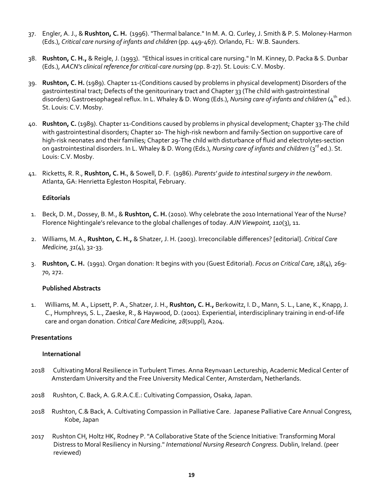- 37. Engler, A. J., & **Rushton, C. H.** (1996). "Thermal balance." In M. A. Q. Curley, J. Smith & P. S. Moloney-Harmon (Eds.), *Critical care nursing of infants and children* (pp. 449-467). Orlando, FL: W.B. Saunders.
- 38. **Rushton, C. H.,** & Reigle, J. (1993). "Ethical issues in critical care nursing." In M. Kinney, D. Packa & S. Dunbar (Eds.), *AACN's clinical reference for critical-care nursing* (pp. 8-27). St. Louis: C.V. Mosby.
- 39. **Rushton, C. H.** (1989). Chapter 11-(Conditions caused by problems in physical development) Disorders of the gastrointestinal tract; Defects of the genitourinary tract and Chapter 33 (The child with gastrointestinal disorders) Gastroesophageal reflux. In L. Whaley & D. Wong (Eds.), *Nursing care of infants and children* (4<sup>th</sup> ed.). St. Louis: C.V. Mosby.
- 40. **Rushton, C.** (1989). Chapter 11-Conditions caused by problems in physical development; Chapter 33-The child with gastrointestinal disorders; Chapter 10- The high-risk newborn and family-Section on supportive care of high-risk neonates and their families; Chapter 29-The child with disturbance of fluid and electrolytes-section on gastrointestinal disorders. In L. Whaley & D. Wong (Eds.), *Nursing care of infants and children* (3<sup>rd</sup> ed.). St. Louis: C.V. Mosby.
- 41. Ricketts, R. R., **Rushton, C. H.**, & Sowell, D. F. (1986). *Parents' guide to intestinal surgery in the newborn*. Atlanta, GA: Henrietta Egleston Hospital, February.

### **Editorials**

- 1. Beck, D. M., Dossey, B. M., & **Rushton, C. H.** (2010). Why celebrate the 2010 International Year of the Nurse? Florence Nightingale's relevance to the global challenges of today. *AJN Viewpoint, 110*(3), 11.
- 2. Williams, M. A., **Rushton, C. H.,** & Shatzer, J. H. (2003). Irreconcilable differences? [editorial]. *Critical Care Medicine, 31*(4), 32-33.
- 3. **Rushton, C. H.** (1991). Organ donation: It begins with you (Guest Editorial). *Focus on Critical Care, 18*(4), 269- 70, 272.

#### **Published Abstracts**

1. Williams, M. A., Lipsett, P. A., Shatzer, J. H., **Rushton, C. H.,** Berkowitz, I. D., Mann, S. L., Lane, K., Knapp, J. C., Humphreys, S. L., Zaeske, R., & Haywood, D. (2001). Experiential, interdisciplinary training in end-of-life care and organ donation. *Critical Care Medicine, 28*(suppl), A204.

#### **Presentations**

#### **International**

- 2018 Cultivating Moral Resilience in Turbulent Times. Anna Reynvaan Lectureship, Academic Medical Center of Amsterdam University and the Free University Medical Center, Amsterdam, Netherlands.
- 2018 Rushton, C. Back, A. G.R.A.C.E.: Cultivating Compassion, Osaka, Japan.
- 2018 Rushton, C.& Back, A. Cultivating Compassion in Palliative Care. Japanese Palliative Care Annual Congress, Kobe, Japan
- 2017 Rushton CH, Holtz HK, Rodney P. "A Collaborative State of the Science Initiative: Transforming Moral Distress to Moral Resiliency in Nursing." *International Nursing Research Congress.* Dublin, Ireland. (peer reviewed)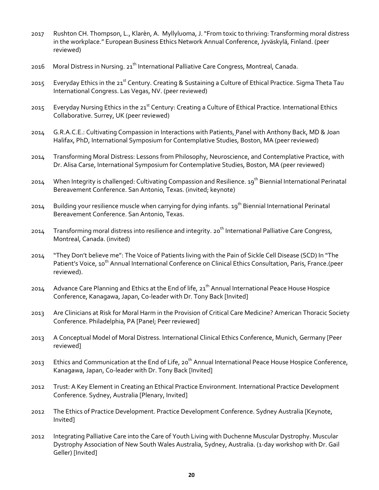- 2017 Rushton CH. Thompson, L., Klarèn, A. Myllyluoma, J. "From toxic to thriving: Transforming moral distress in the workplace." European Business Ethics Network Annual Conference, Jyväskylä, Finland. (peer reviewed)
- 2016 Moral Distress in Nursing. 21<sup>th</sup> International Palliative Care Congress, Montreal, Canada.
- 2015 Everyday Ethics in the 21<sup>st</sup> Century. Creating & Sustaining a Culture of Ethical Practice. Sigma Theta Tau International Congress. Las Vegas, NV. (peer reviewed)
- 2015 Everyday Nursing Ethics in the 21<sup>st</sup> Century: Creating a Culture of Ethical Practice. International Ethics Collaborative. Surrey, UK (peer reviewed)
- 2014 G.R.A.C.E.: Cultivating Compassion in Interactions with Patients, Panel with Anthony Back, MD & Joan Halifax, PhD, International Symposium for Contemplative Studies, Boston, MA (peer reviewed)
- 2014 Transforming Moral Distress: Lessons from Philosophy, Neuroscience, and Contemplative Practice, with Dr. Alisa Carse, International Symposium for Contemplative Studies, Boston, MA (peer reviewed)
- 2014 When Integrity is challenged: Cultivating Compassion and Resilience. 19<sup>th</sup> Biennial International Perinatal Bereavement Conference. San Antonio, Texas. (invited; keynote)
- 2014 Building your resilience muscle when carrying for dying infants. 19<sup>th</sup> Biennial International Perinatal Bereavement Conference. San Antonio, Texas.
- 2014 Transforming moral distress into resilience and integrity. 20<sup>th</sup> International Palliative Care Congress, Montreal, Canada. (invited)
- 2014 "They Don't believe me": The Voice of Patients living with the Pain of Sickle Cell Disease (SCD) In "The Patient's Voice, 10<sup>th</sup> Annual International Conference on Clinical Ethics Consultation, Paris, France.(peer reviewed).
- 2014 Advance Care Planning and Ethics at the End of life, 21<sup>th</sup> Annual International Peace House Hospice Conference, Kanagawa, Japan, Co-leader with Dr. Tony Back [Invited]
- 2013 Are Clinicians at Risk for Moral Harm in the Provision of Critical Care Medicine? American Thoracic Society Conference. Philadelphia, PA [Panel; Peer reviewed]
- 2013 A Conceptual Model of Moral Distress. International Clinical Ethics Conference, Munich, Germany [Peer reviewed]
- 2013 Ethics and Communication at the End of Life, 20<sup>th</sup> Annual International Peace House Hospice Conference, Kanagawa, Japan, Co-leader with Dr. Tony Back [Invited]
- 2012 Trust: A Key Element in Creating an Ethical Practice Environment. International Practice Development Conference. Sydney, Australia [Plenary, Invited]
- 2012 The Ethics of Practice Development. Practice Development Conference. Sydney Australia [Keynote, Invited]
- 2012 Integrating Palliative Care into the Care of Youth Living with Duchenne Muscular Dystrophy. Muscular Dystrophy Association of New South Wales Australia, Sydney, Australia. (1-day workshop with Dr. Gail Geller) [Invited]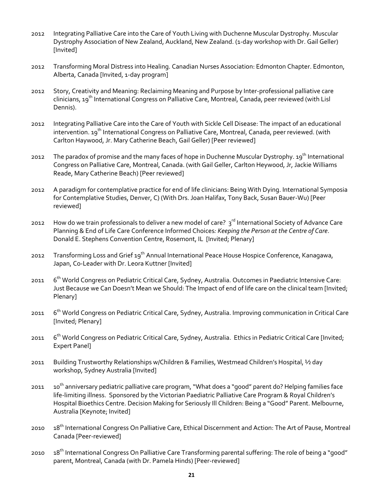- 2012 Integrating Palliative Care into the Care of Youth Living with Duchenne Muscular Dystrophy. Muscular Dystrophy Association of New Zealand, Auckland, New Zealand. (1-day workshop with Dr. Gail Geller) [Invited]
- 2012 Transforming Moral Distress into Healing. Canadian Nurses Association: Edmonton Chapter. Edmonton, Alberta, Canada [Invited, 1-day program]
- 2012 Story, Creativity and Meaning: Reclaiming Meaning and Purpose by Inter-professional palliative care clinicians, 19th International Congress on Palliative Care, Montreal, Canada, peer reviewed (with Lisl Dennis).
- 2012 Integrating Palliative Care into the Care of Youth with Sickle Cell Disease: The impact of an educational intervention. 19<sup>th</sup> International Congress on Palliative Care, Montreal, Canada, peer reviewed. (with Carlton Haywood, Jr. Mary Catherine Beach, Gail Geller) [Peer reviewed]
- 2012 The paradox of promise and the many faces of hope in Duchenne Muscular Dystrophy. 19<sup>th</sup> International Congress on Palliative Care, Montreal, Canada. (with Gail Geller, Carlton Heywood, Jr, Jackie Williams Reade, Mary Catherine Beach) [Peer reviewed]
- 2012 A paradigm for contemplative practice for end of life clinicians: Being With Dying. International Symposia for Contemplative Studies, Denver, C) (With Drs. Joan Halifax, Tony Back, Susan Bauer-Wu) [Peer reviewed]
- 2012 How do we train professionals to deliver a new model of care? 3<sup>rd</sup> International Society of Advance Care Planning & End of Life Care Conference Informed Choices*: Keeping the Person at the Centre of Care*. Donald E. Stephens Convention Centre, Rosemont, IL [Invited; Plenary]
- 2012 Transforming Loss and Grief 19<sup>th</sup> Annual International Peace House Hospice Conference, Kanagawa, Japan, Co-Leader with Dr. Leora Kuttner [Invited]
- 2011 6th World Congress on Pediatric Critical Care, Sydney, Australia. Outcomes in Paediatric Intensive Care: Just Because we Can Doesn't Mean we Should: The Impact of end of life care on the clinical team [Invited; Plenary]
- 2011 6<sup>th</sup> World Congress on Pediatric Critical Care, Sydney, Australia. Improving communication in Critical Care [Invited; Plenary]
- 2011 6<sup>th</sup> World Congress on Pediatric Critical Care, Sydney, Australia. Ethics in Pediatric Critical Care [Invited; Expert Panel]
- 2011 Building Trustworthy Relationships w/Children & Families, Westmead Children's Hospital, ½ day workshop, Sydney Australia [Invited]
- 2011 10<sup>th</sup> anniversary pediatric palliative care program, "What does a "good" parent do? Helping families face life-limiting illness. Sponsored by the Victorian Paediatric Palliative Care Program & Royal Children's Hospital Bioethics Centre. Decision Making for Seriously Ill Children: Being a "Good" Parent. Melbourne, Australia [Keynote; Invited]
- 2010 18<sup>th</sup> International Congress On Palliative Care, Ethical Discernment and Action: The Art of Pause, Montreal Canada [Peer-reviewed]
- 2010 18<sup>th</sup> International Congress On Palliative Care Transforming parental suffering: The role of being a "good" parent, Montreal, Canada (with Dr. Pamela Hinds) [Peer-reviewed]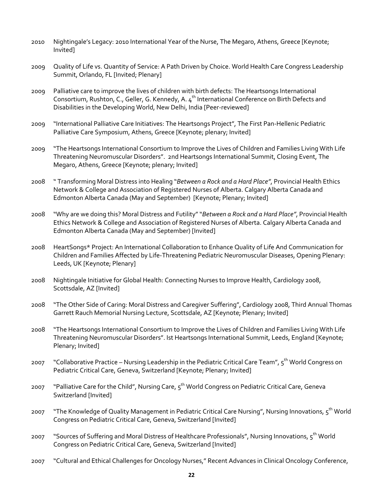- 2010 Nightingale's Legacy: 2010 International Year of the Nurse, The Megaro, Athens, Greece [Keynote; Invited]
- 2009 Quality of Life vs. Quantity of Service: A Path Driven by Choice. World Health Care Congress Leadership Summit, Orlando, FL [Invited; Plenary]
- 2009 Palliative care to improve the lives of children with birth defects: The Heartsongs International Consortium, Rushton, C., Geller, G. Kennedy, A. 4<sup>th</sup> International Conference on Birth Defects and Disabilities in the Developing World, New Delhi, India [Peer-reviewed]
- 2009 "International Palliative Care Initiatives: The Heartsongs Project", The First Pan-Hellenic Pediatric Palliative Care Symposium, Athens, Greece [Keynote; plenary; Invited]
- 2009 "The Heartsongs International Consortium to Improve the Lives of Children and Families Living With Life Threatening Neuromuscular Disorders". 2nd Heartsongs International Summit, Closing Event, The Megaro, Athens, Greece [Keynote; plenary; Invited]
- 2008 " Transforming Moral Distress into Healing "*Between a Rock and a Hard Place"*, Provincial Health Ethics Network & College and Association of Registered Nurses of Alberta. Calgary Alberta Canada and Edmonton Alberta Canada (May and September) [Keynote; Plenary; Invited]
- 2008 "Why are we doing this? Moral Distress and Futility" "*Between a Rock and a Hard Place"*, Provincial Health Ethics Network & College and Association of Registered Nurses of Alberta. Calgary Alberta Canada and Edmonton Alberta Canada (May and September) [Invited]
- 2008 HeartSongs\* Project: An International Collaboration to Enhance Quality of Life And Communication for Children and Families Affected by Life-Threatening Pediatric Neuromuscular Diseases, Opening Plenary: Leeds, UK [Keynote; Plenary]
- 2008 Nightingale Initiative for Global Health: Connecting Nurses to Improve Health, Cardiology 2008, Scottsdale, AZ [Invited]
- 2008 "The Other Side of Caring: Moral Distress and Caregiver Suffering", Cardiology 2008, Third Annual Thomas Garrett Rauch Memorial Nursing Lecture, Scottsdale, AZ [Keynote; Plenary; Invited]
- 2008 "The Heartsongs International Consortium to Improve the Lives of Children and Families Living With Life Threatening Neuromuscular Disorders". Ist Heartsongs International Summit, Leeds, England [Keynote; Plenary; Invited]
- 2007 "Collaborative Practice Nursing Leadership in the Pediatric Critical Care Team", 5<sup>th</sup> World Congress on Pediatric Critical Care, Geneva, Switzerland [Keynote; Plenary; Invited]
- 2007 "Palliative Care for the Child", Nursing Care, 5<sup>th</sup> World Congress on Pediatric Critical Care, Geneva Switzerland [Invited]
- 2007 "The Knowledge of Quality Management in Pediatric Critical Care Nursing", Nursing Innovations, 5<sup>th</sup> World Congress on Pediatric Critical Care, Geneva, Switzerland [Invited]
- 2007 "Sources of Suffering and Moral Distress of Healthcare Professionals", Nursing Innovations, 5<sup>th</sup> World Congress on Pediatric Critical Care, Geneva, Switzerland [Invited]
- 2007 "Cultural and Ethical Challenges for Oncology Nurses," Recent Advances in Clinical Oncology Conference,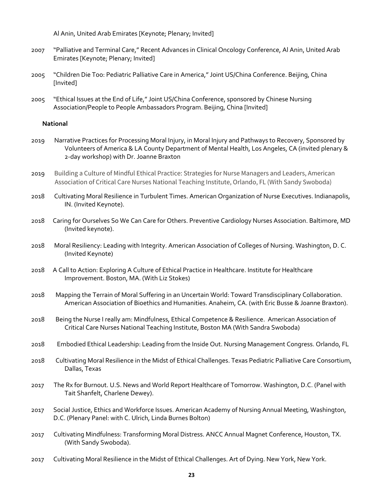Al Anin, United Arab Emirates [Keynote; Plenary; Invited]

- 2007 "Palliative and Terminal Care," Recent Advances in Clinical Oncology Conference, Al Anin, United Arab Emirates [Keynote; Plenary; Invited]
- 2005 "Children Die Too: Pediatric Palliative Care in America," Joint US/China Conference. Beijing, China [Invited]
- 2005 "Ethical Issues at the End of Life," Joint US/China Conference, sponsored by Chinese Nursing Association/People to People Ambassadors Program. Beijing, China [Invited]

#### **National**

- 2019 Narrative Practices for Processing Moral Injury, in Moral Injury and Pathways to Recovery, Sponsored by Volunteers of America & LA County Department of Mental Health, Los Angeles, CA (invited plenary & 2-day workshop) with Dr. Joanne Braxton
- 2019 Building a Culture of Mindful Ethical Practice: Strategies for Nurse Managers and Leaders, American Association of Critical Care Nurses National Teaching Institute, Orlando, FL (With Sandy Swoboda)
- 2018 Cultivating Moral Resilience in Turbulent Times. American Organization of Nurse Executives. Indianapolis, IN. (Invited Keynote).
- 2018 Caring for Ourselves So We Can Care for Others. Preventive Cardiology Nurses Association. Baltimore, MD (Invited keynote).
- 2018 Moral Resiliency: Leading with Integrity. American Association of Colleges of Nursing. Washington, D. C. (Invited Keynote)
- 2018 A Call to Action: Exploring A Culture of Ethical Practice in Healthcare. Institute for Healthcare Improvement. Boston, MA. (With Liz Stokes)
- 2018 Mapping the Terrain of Moral Suffering in an Uncertain World: Toward Transdisciplinary Collaboration. American Association of Bioethics and Humanities. Anaheim, CA. (with Eric Busse & Joanne Braxton).
- 2018 Being the Nurse I really am: Mindfulness, Ethical Competence & Resilience. American Association of Critical Care Nurses National Teaching Institute, Boston MA (With Sandra Swoboda)
- 2018 Embodied Ethical Leadership: Leading from the Inside Out. Nursing Management Congress. Orlando, FL
- 2018 Cultivating Moral Resilience in the Midst of Ethical Challenges. Texas Pediatric Palliative Care Consortium, Dallas, Texas
- 2017 The Rx for Burnout. U.S. News and World Report Healthcare of Tomorrow. Washington, D.C. (Panel with Tait Shanfelt, Charlene Dewey).
- 2017 Social Justice, Ethics and Workforce Issues. American Academy of Nursing Annual Meeting, Washington, D.C. (Plenary Panel: with C. Ulrich, Linda Burnes Bolton)
- 2017 Cultivating Mindfulness: Transforming Moral Distress. ANCC Annual Magnet Conference, Houston, TX. (With Sandy Swoboda).
- 2017 Cultivating Moral Resilience in the Midst of Ethical Challenges. Art of Dying. New York, New York.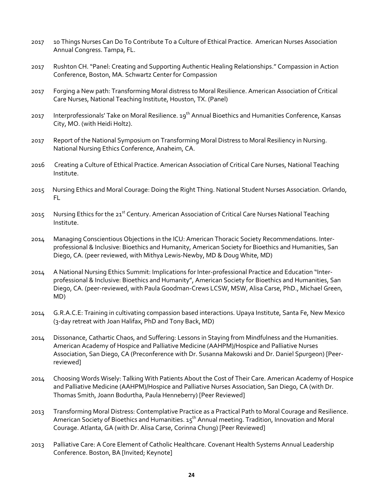- 2017 10 Things Nurses Can Do To Contribute To a Culture of Ethical Practice. American Nurses Association Annual Congress. Tampa, FL.
- 2017 Rushton CH. "Panel: Creating and Supporting Authentic Healing Relationships." Compassion in Action Conference, Boston, MA. Schwartz Center for Compassion
- 2017 Forging a New path: Transforming Moral distress to Moral Resilience. American Association of Critical Care Nurses, National Teaching Institute, Houston, TX. (Panel)
- 2017 Interprofessionals' Take on Moral Resilience. 19<sup>th</sup> Annual Bioethics and Humanities Conference, Kansas City, MO. (with Heidi Holtz).
- 2017 Report of the National Symposium on Transforming Moral Distress to Moral Resiliency in Nursing. National Nursing Ethics Conference, Anaheim, CA.
- 2016 Creating a Culture of Ethical Practice. American Association of Critical Care Nurses, National Teaching Institute.
- 2015 Nursing Ethics and Moral Courage: Doing the Right Thing. National Student Nurses Association. Orlando, FL
- 2015 Nursing Ethics for the 21<sup>st</sup> Century. American Association of Critical Care Nurses National Teaching Institute.
- 2014 Managing Conscientious Objections in the ICU: American Thoracic Society Recommendations. Interprofessional & Inclusive: Bioethics and Humanity, American Society for Bioethics and Humanities, San Diego, CA. (peer reviewed, with Mithya Lewis-Newby, MD & Doug White, MD)
- 2014 A National Nursing Ethics Summit: Implications for Inter-professional Practice and Education "Interprofessional & Inclusive: Bioethics and Humanity", American Society for Bioethics and Humanities, San Diego, CA. (peer-reviewed, with Paula Goodman-Crews LCSW, MSW, Alisa Carse, PhD., Michael Green, MD)
- 2014 G.R.A.C.E: Training in cultivating compassion based interactions. Upaya Institute, Santa Fe, New Mexico (3-day retreat with Joan Halifax, PhD and Tony Back, MD)
- 2014 Dissonance, Cathartic Chaos, and Suffering: Lessons in Staying from Mindfulness and the Humanities. American Academy of Hospice and Palliative Medicine (AAHPM)/Hospice and Palliative Nurses Association, San Diego, CA (Preconference with Dr. Susanna Makowski and Dr. Daniel Spurgeon) [Peerreviewed]
- 2014 Choosing Words Wisely: Talking With Patients About the Cost of Their Care. American Academy of Hospice and Palliative Medicine (AAHPM)/Hospice and Palliative Nurses Association, San Diego, CA (with Dr. Thomas Smith, Joann Bodurtha, Paula Henneberry) [Peer Reviewed]
- 2013 Transforming Moral Distress: Contemplative Practice as a Practical Path to Moral Courage and Resilience. American Society of Bioethics and Humanities. 15<sup>th</sup> Annual meeting. Tradition, Innovation and Moral Courage. Atlanta, GA (with Dr. Alisa Carse, Corinna Chung) [Peer Reviewed]
- 2013 Palliative Care: A Core Element of Catholic Healthcare. Covenant Health Systems Annual Leadership Conference. Boston, BA [Invited; Keynote]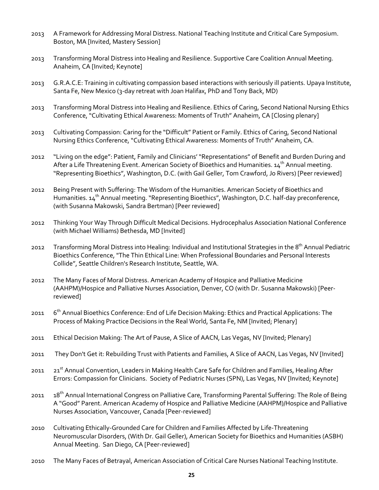- 2013 A Framework for Addressing Moral Distress. National Teaching Institute and Critical Care Symposium. Boston, MA [Invited, Mastery Session]
- 2013 Transforming Moral Distress into Healing and Resilience. Supportive Care Coalition Annual Meeting. Anaheim, CA [Invited; Keynote]
- 2013 G.R.A.C.E: Training in cultivating compassion based interactions with seriously ill patients. Upaya Institute, Santa Fe, New Mexico (3-day retreat with Joan Halifax, PhD and Tony Back, MD)
- 2013 Transforming Moral Distress into Healing and Resilience. Ethics of Caring, Second National Nursing Ethics Conference, "Cultivating Ethical Awareness: Moments of Truth" Anaheim, CA [Closing plenary]
- 2013 Cultivating Compassion: Caring for the "Difficult" Patient or Family. Ethics of Caring, Second National Nursing Ethics Conference, "Cultivating Ethical Awareness: Moments of Truth" Anaheim, CA.
- 2012 "Living on the edge": Patient, Family and Clinicians' "Representations" of Benefit and Burden During and After a Life Threatening Event. American Society of Bioethics and Humanities.  $14^{th}$  Annual meeting. "Representing Bioethics", Washington, D.C. (with Gail Geller, Tom Crawford, Jo Rivers) [Peer reviewed]
- 2012 Being Present with Suffering: The Wisdom of the Humanities. American Society of Bioethics and Humanities.  $14^{th}$  Annual meeting. "Representing Bioethics", Washington, D.C. half-day preconference, (with Susanna Makowski, Sandra Bertman) [Peer reviewed]
- 2012 Thinking Your Way Through Difficult Medical Decisions. Hydrocephalus Association National Conference (with Michael Williams) Bethesda, MD [Invited]
- 2012 Transforming Moral Distress into Healing: Individual and Institutional Strategies in the 8<sup>th</sup> Annual Pediatric Bioethics Conference, "The Thin Ethical Line: When Professional Boundaries and Personal Interests Collide", Seattle Children's Research Institute, Seattle, WA.
- 2012 The Many Faces of Moral Distress. American Academy of Hospice and Palliative Medicine (AAHPM)/Hospice and Palliative Nurses Association, Denver, CO (with Dr. Susanna Makowski) [Peerreviewed]
- 2011 6<sup>th</sup> Annual Bioethics Conference: End of Life Decision Making: Ethics and Practical Applications: The Process of Making Practice Decisions in the Real World, Santa Fe, NM [Invited; Plenary]
- 2011 Ethical Decision Making: The Art of Pause, A Slice of AACN, Las Vegas, NV [Invited; Plenary]
- 2011 They Don't Get it: Rebuilding Trust with Patients and Families, A Slice of AACN, Las Vegas, NV [Invited]
- 2011 21<sup>st</sup> Annual Convention, Leaders in Making Health Care Safe for Children and Families, Healing After Errors: Compassion for Clinicians. Society of Pediatric Nurses (SPN), Las Vegas, NV [Invited; Keynote]
- 2011 18<sup>th</sup> Annual International Congress on Palliative Care, Transforming Parental Suffering: The Role of Being A "Good" Parent. American Academy of Hospice and Palliative Medicine (AAHPM)/Hospice and Palliative Nurses Association, Vancouver, Canada [Peer-reviewed]
- 2010 Cultivating Ethically-Grounded Care for Children and Families Affected by Life-Threatening Neuromuscular Disorders, (With Dr. Gail Geller), American Society for Bioethics and Humanities (ASBH) Annual Meeting. San Diego, CA [Peer-reviewed]
- 2010 The Many Faces of Betrayal, American Association of Critical Care Nurses National Teaching Institute.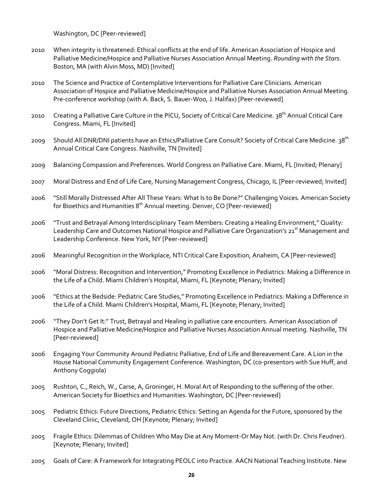Washington, DC [Peer-reviewed]

- 2010 When integrity is threatened: Ethical conflicts at the end of life. American Association of Hospice and Palliative Medicine/Hospice and Palliative Nurses Association Annual Meeting. *Rounding with the Stars.* Boston, MA (with Alvin Moss, MD) [Invited]
- 2010 The Science and Practice of Contemplative Interventions for Palliative Care Clinicians. American Association of Hospice and Palliative Medicine/Hospice and Palliative Nurses Association Annual Meeting. Pre-conference workshop (with A. Back, S. Bauer-Woo, J. Halifax) [Peer-reviewed]
- 2010 Creating a Palliative Care Culture in the PICU, Society of Critical Care Medicine. 38<sup>th</sup> Annual Critical Care Congress. Miami, FL [Invited]
- 2009 Should All DNR/DNI patients have an Ethics/Palliative Care Consult? Society of Critical Care Medicine. 38<sup>th</sup> Annual Critical Care Congress. Nashville, TN [Invited]
- 2009 Balancing Compassion and Preferences. World Congress on Palliative Care. Miami, FL [Invited; Plenary]
- 2007 Moral Distress and End of Life Care, Nursing Management Congress, Chicago, IL [Peer-reviewed; Invited]
- 2006 "Still Morally Distressed After All These Years: What Is to Be Done?" Challenging Voices. American Society for Bioethics and Humanities 8<sup>th</sup> Annual meeting. Denver, CO [Peer-reviewed]
- 2006 "Trust and Betrayal Among Interdisciplinary Team Members: Creating a Healing Environment," Quality: Leadership Care and Outcomes National Hospice and Palliative Care Organization's 21<sup>st</sup> Management and Leadership Conference. New York, NY [Peer-reviewed]
- 2006 Meaningful Recognition in the Workplace, NTI Critical Care Exposition, Anaheim, CA [Peer-reviewed]
- 2006 "Moral Distress: Recognition and Intervention," Promoting Excellence in Pediatrics: Making a Difference in the Life of a Child. Miami Children's Hospital, Miami, FL [Keynote; Plenary; Invited]
- 2006 "Ethics at the Bedside: Pediatric Care Studies," Promoting Excellence in Pediatrics: Making a Difference in the Life of a Child. Miami Children's Hospital, Miami, FL [Keynote; Plenary; Invited]
- 2006 "They Don't Get It:" Trust, Betrayal and Healing in palliative care encounters. American Association of Hospice and Palliative Medicine/Hospice and Palliative Nurses Association Annual meeting. Nashville, TN [Peer-reviewed]
- 2006 Engaging Your Community Around Pediatric Palliative, End of Life and Bereavement Care. A Lion in the House National Community Engagement Conference. Washington, DC (co-presentors with Sue Huff, and Anthony Coggiola)
- 2005 Rushton, C., Reich, W., Carse, A, Groninger, H. Moral Art of Responding to the suffering of the other. American Society for Bioethics and Humanities. Washington, DC [Peer-reviewed]
- 2005 Pediatric Ethics: Future Directions, Pediatric Ethics: Setting an Agenda for the Future, sponsored by the Cleveland Clinic, Cleveland, OH [Keynote; Plenary; Invited]
- 2005 Fragile Ethics: Dilemmas of Children Who May Die at Any Moment-Or May Not. (with Dr. Chris Feudner). [Keynote; Plenary; Invited]
- 2005 Goals of Care: A Framework for Integrating PEOLC into Practice. AACN National Teaching Institute. New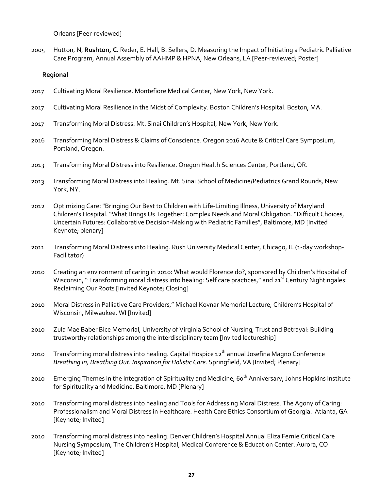Orleans [Peer-reviewed]

2005 Hutton, N, **Rushton, C.** Reder, E. Hall, B. Sellers, D. Measuring the Impact of Initiating a Pediatric Palliative Care Program, Annual Assembly of AAHMP & HPNA, New Orleans, LA [Peer-reviewed; Poster]

#### **Regional**

- 2017 Cultivating Moral Resilience. Montefiore Medical Center, New York, New York.
- 2017 Cultivating Moral Resilience in the Midst of Complexity. Boston Children's Hospital. Boston, MA.
- 2017 Transforming Moral Distress. Mt. Sinai Children's Hospital, New York, New York.
- 2016 Transforming Moral Distress & Claims of Conscience. Oregon 2016 Acute & Critical Care Symposium, Portland, Oregon.
- 2013 Transforming Moral Distress into Resilience. Oregon Health Sciences Center, Portland, OR.
- 2013 Transforming Moral Distress into Healing. Mt. Sinai School of Medicine/Pediatrics Grand Rounds, New York, NY.
- 2012 Optimizing Care: "Bringing Our Best to Children with Life-Limiting Illness, University of Maryland Children's Hospital. "What Brings Us Together: Complex Needs and Moral Obligation. "Difficult Choices, Uncertain Futures: Collaborative Decision-Making with Pediatric Families", Baltimore, MD [Invited Keynote; plenary]
- 2011 Transforming Moral Distress into Healing. Rush University Medical Center, Chicago, IL (1-day workshop-Facilitator)
- 2010 Creating an environment of caring in 2010: What would Florence do?, sponsored by Children's Hospital of Wisconsin, " Transforming moral distress into healing: Self care practices," and 21<sup>st</sup> Century Nightingales: Reclaiming Our Roots [Invited Keynote; Closing]
- 2010 Moral Distress in Palliative Care Providers," Michael Kovnar Memorial Lecture, Children's Hospital of Wisconsin, Milwaukee, WI [Invited]
- 2010 Zula Mae Baber Bice Memorial, University of Virginia School of Nursing, Trust and Betrayal: Building trustworthy relationships among the interdisciplinary team [Invited lectureship]
- 2010 Transforming moral distress into healing. Capital Hospice 12<sup>th</sup> annual Josefina Magno Conference *Breathing In, Breathing Out: Inspiration for Holistic Care*. Springfield, VA [Invited; Plenary]
- 2010 Emerging Themes in the Integration of Spirituality and Medicine, 60<sup>th</sup> Anniversary, Johns Hopkins Institute for Spirituality and Medicine. Baltimore, MD [Plenary]
- 2010 Transforming moral distress into healing and Tools for Addressing Moral Distress. The Agony of Caring: Professionalism and Moral Distress in Healthcare. Health Care Ethics Consortium of Georgia. Atlanta, GA [Keynote; Invited]
- 2010 Transforming moral distress into healing. Denver Children's Hospital Annual Eliza Fernie Critical Care Nursing Symposium, The Children's Hospital, Medical Conference & Education Center. Aurora, CO [Keynote; Invited]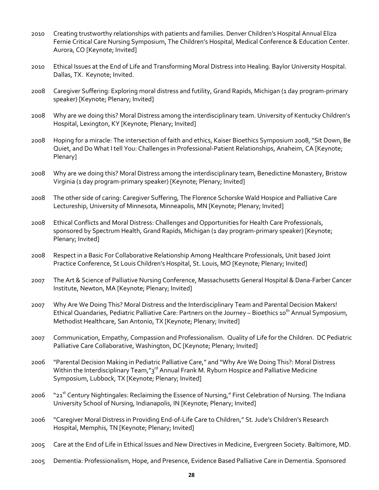- 2010 Creating trustworthy relationships with patients and families. Denver Children's Hospital Annual Eliza Fernie Critical Care Nursing Symposium, The Children's Hospital, Medical Conference & Education Center. Aurora, CO [Keynote; Invited]
- 2010 Ethical Issues at the End of Life and Transforming Moral Distress into Healing. Baylor University Hospital. Dallas, TX. Keynote; Invited.
- 2008 Caregiver Suffering: Exploring moral distress and futility, Grand Rapids, Michigan (1 day program-primary speaker) [Keynote; Plenary; Invited]
- 2008 Why are we doing this? Moral Distress among the interdisciplinary team. University of Kentucky Children's Hospital, Lexington, KY [Keynote; Plenary; Invited]
- 2008 Hoping for a miracle: The intersection of faith and ethics, Kaiser Bioethics Symposium 2008, "Sit Down, Be Quiet, and Do What I tell You: Challenges in Professional-Patient Relationships, Anaheim, CA [Keynote; Plenary]
- 2008 Why are we doing this? Moral Distress among the interdisciplinary team, Benedictine Monastery, Bristow Virginia (1 day program-primary speaker) [Keynote; Plenary; Invited]
- 2008 The other side of caring: Caregiver Suffering, The Florence Schorske Wald Hospice and Palliative Care Lectureship, University of Minnesota, Minneapolis, MN [Keynote; Plenary; Invited]
- 2008 Ethical Conflicts and Moral Distress: Challenges and Opportunities for Health Care Professionals, sponsored by Spectrum Health, Grand Rapids, Michigan (1 day program-primary speaker) [Keynote; Plenary; Invited]
- 2008 Respect in a Basic For Collaborative Relationship Among Healthcare Professionals, Unit based Joint Practice Conference, St Louis Children's Hospital, St. Louis, MO [Keynote; Plenary; Invited]
- 2007 The Art & Science of Palliative Nursing Conference, Massachusetts General Hospital & Dana-Farber Cancer Institute, Newton, MA [Keynote; Plenary; Invited]
- 2007 Why Are We Doing This? Moral Distress and the Interdisciplinary Team and Parental Decision Makers! Ethical Quandaries, Pediatric Palliative Care: Partners on the Journey – Bioethics 10<sup>th</sup> Annual Symposium, Methodist Healthcare, San Antonio, TX [Keynote; Plenary; Invited]
- 2007 Communication, Empathy, Compassion and Professionalism. Quality of Life for the Children. DC Pediatric Palliative Care Collaborative, Washington, DC [Keynote; Plenary; Invited]
- 2006 "Parental Decision Making in Pediatric Palliative Care," and "Why Are We Doing This?: Moral Distress Within the Interdisciplinary Team,"3<sup>rd</sup> Annual Frank M. Ryburn Hospice and Palliative Medicine Symposium, Lubbock, TX [Keynote; Plenary; Invited]
- 2006 "21<sup>st</sup> Century Nightingales: Reclaiming the Essence of Nursing," First Celebration of Nursing. The Indiana University School of Nursing, Indianapolis, IN [Keynote; Plenary; Invited]
- 2006 "Caregiver Moral Distress in Providing End-of-Life Care to Children," St. Jude's Children's Research Hospital, Memphis, TN [Keynote; Plenary; Invited]
- 2005 Care at the End of Life in Ethical Issues and New Directives in Medicine, Evergreen Society. Baltimore, MD.
- 2005 Dementia: Professionalism, Hope, and Presence, Evidence Based Palliative Care in Dementia. Sponsored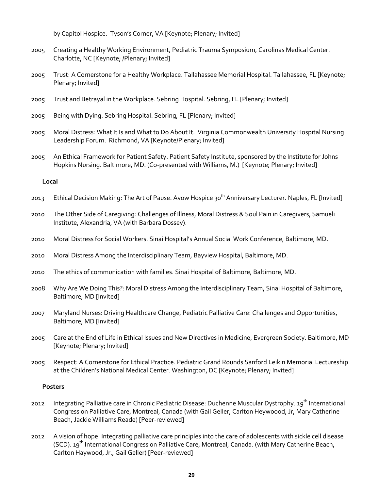by Capitol Hospice. Tyson's Corner, VA [Keynote; Plenary; Invited]

- 2005 Creating a Healthy Working Environment, Pediatric Trauma Symposium, Carolinas Medical Center. Charlotte, NC [Keynote; /Plenary; Invited]
- 2005 Trust: A Cornerstone for a Healthy Workplace. Tallahassee Memorial Hospital. Tallahassee, FL [Keynote; Plenary; Invited]
- 2005 Trust and Betrayal in the Workplace. Sebring Hospital. Sebring, FL [Plenary; Invited]
- 2005 Being with Dying. Sebring Hospital. Sebring, FL [Plenary; Invited]
- 2005 Moral Distress: What It Is and What to Do About It. Virginia Commonwealth University Hospital Nursing Leadership Forum. Richmond, VA [Keynote/Plenary; Invited]
- 2005 An Ethical Framework for Patient Safety. Patient Safety Institute, sponsored by the Institute for Johns Hopkins Nursing. Baltimore, MD. (Co-presented with Williams, M.) [Keynote; Plenary; Invited]

#### **Local**

- 2013 Ethical Decision Making: The Art of Pause. Avow Hospice 30<sup>th</sup> Anniversary Lecturer. Naples, FL [Invited]
- 2010 The Other Side of Caregiving: Challenges of Illness, Moral Distress & Soul Pain in Caregivers, Samueli Institute, Alexandria, VA (with Barbara Dossey).
- 2010 Moral Distress for Social Workers. Sinai Hospital's Annual Social Work Conference, Baltimore, MD.
- 2010 Moral Distress Among the Interdisciplinary Team, Bayview Hospital, Baltimore, MD.
- 2010 The ethics of communication with families. Sinai Hospital of Baltimore, Baltimore, MD.
- 2008 Why Are We Doing This?: Moral Distress Among the Interdisciplinary Team, Sinai Hospital of Baltimore, Baltimore, MD [Invited]
- 2007 Maryland Nurses: Driving Healthcare Change, Pediatric Palliative Care: Challenges and Opportunities, Baltimore, MD [Invited]
- 2005 Care at the End of Life in Ethical Issues and New Directives in Medicine, Evergreen Society. Baltimore, MD [Keynote; Plenary; Invited]
- 2005 Respect: A Cornerstone for Ethical Practice. Pediatric Grand Rounds Sanford Leikin Memorial Lectureship at the Children's National Medical Center. Washington, DC [Keynote; Plenary; Invited]

#### **Posters**

- 2012 Integrating Palliative care in Chronic Pediatric Disease: Duchenne Muscular Dystrophy. 19<sup>th</sup> International Congress on Palliative Care, Montreal, Canada (with Gail Geller, Carlton Heywoood, Jr, Mary Catherine Beach, Jackie Williams Reade) [Peer-reviewed]
- 2012 A vision of hope: Integrating palliative care principles into the care of adolescents with sickle cell disease (SCD). 19th International Congress on Palliative Care, Montreal, Canada. (with Mary Catherine Beach, Carlton Haywood, Jr., Gail Geller) [Peer-reviewed]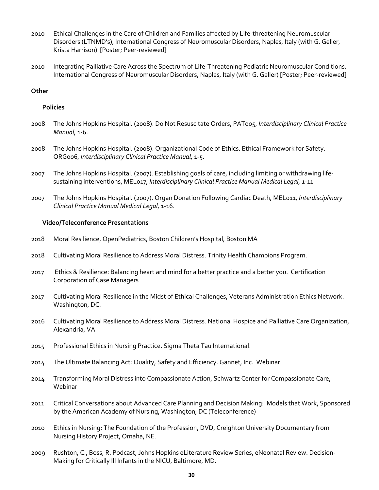- 2010 Ethical Challenges in the Care of Children and Families affected by Life-threatening Neuromuscular Disorders (LTNMD's), International Congress of Neuromuscular Disorders, Naples, Italy (with G. Geller, Krista Harrison) [Poster; Peer-reviewed]
- 2010 Integrating Palliative Care Across the Spectrum of Life-Threatening Pediatric Neuromuscular Conditions, International Congress of Neuromuscular Disorders, Naples, Italy (with G. Geller) [Poster; Peer-reviewed]

#### **Other**

### **Policies**

- 2008 The Johns Hopkins Hospital. (2008). Do Not Resuscitate Orders, PAT005, *Interdisciplinary Clinical Practice Manual,* 1-6.
- 2008 The Johns Hopkins Hospital. (2008). Organizational Code of Ethics. Ethical Framework for Safety. ORG006, *Interdisciplinary Clinical Practice Manual,* 1-5.
- 2007 The Johns Hopkins Hospital. (2007). Establishing goals of care, including limiting or withdrawing lifesustaining interventions, MEL017, *Interdisciplinary Clinical Practice Manual Medical Legal,* 1-11
- 2007 The Johns Hopkins Hospital. (2007). Organ Donation Following Cardiac Death, MEL011, *Interdisciplinary Clinical Practice Manual Medical Legal,* 1-16.

#### **Video/Teleconference Presentations**

- 2018 Moral Resilience, OpenPediatrics, Boston Children's Hospital, Boston MA
- 2018 Cultivating Moral Resilience to Address Moral Distress. Trinity Health Champions Program.
- 2017 Ethics & Resilience: Balancing heart and mind for a better practice and a better you. Certification Corporation of Case Managers
- 2017 Cultivating Moral Resilience in the Midst of Ethical Challenges, Veterans Administration Ethics Network. Washington, DC.
- 2016 Cultivating Moral Resilience to Address Moral Distress. National Hospice and Palliative Care Organization, Alexandria, VA
- 2015 Professional Ethics in Nursing Practice. Sigma Theta Tau International.
- 2014 The Ultimate Balancing Act: Quality, Safety and Efficiency. Gannet, Inc. Webinar.
- 2014 Transforming Moral Distress into Compassionate Action, Schwartz Center for Compassionate Care, Webinar
- 2011 Critical Conversations about Advanced Care Planning and Decision Making: Models that Work, Sponsored by the American Academy of Nursing, Washington, DC (Teleconference)
- 2010 Ethics in Nursing: The Foundation of the Profession, DVD, Creighton University Documentary from Nursing History Project, Omaha, NE.
- 2009 Rushton, C., Boss, R. Podcast, Johns Hopkins eLiterature Review Series, eNeonatal Review. Decision-Making for Critically Ill Infants in the NICU, Baltimore, MD.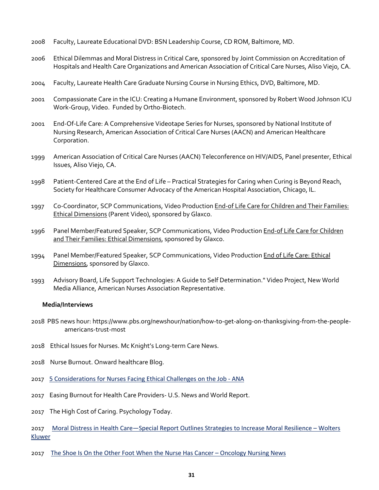- 2008 Faculty, Laureate Educational DVD: BSN Leadership Course, CD ROM, Baltimore, MD.
- 2006 Ethical Dilemmas and Moral Distress in Critical Care, sponsored by Joint Commission on Accreditation of Hospitals and Health Care Organizations and American Association of Critical Care Nurses, Aliso Viejo, CA.
- 2004 Faculty, Laureate Health Care Graduate Nursing Course in Nursing Ethics, DVD, Baltimore, MD.
- 2001 Compassionate Care in the ICU: Creating a Humane Environment, sponsored by Robert Wood Johnson ICU Work-Group, Video. Funded by Ortho-Biotech.
- 2001 End-Of-Life Care: A Comprehensive Videotape Series for Nurses, sponsored by National Institute of Nursing Research, American Association of Critical Care Nurses (AACN) and American Healthcare Corporation.
- 1999 American Association of Critical Care Nurses (AACN) Teleconference on HIV/AIDS, Panel presenter, Ethical Issues, Aliso Viejo, CA.
- 1998 Patient-Centered Care at the End of Life Practical Strategies for Caring when Curing is Beyond Reach, Society for Healthcare Consumer Advocacy of the American Hospital Association, Chicago, IL.
- 1997 Co-Coordinator, SCP Communications, Video Production End-of Life Care for Children and Their Families: Ethical Dimensions (Parent Video), sponsored by Glaxco.
- 1996 Panel Member/Featured Speaker, SCP Communications, Video Production End-of Life Care for Children and Their Families: Ethical Dimensions, sponsored by Glaxco.
- 1994 Panel Member/Featured Speaker, SCP Communications, Video Production End of Life Care: Ethical Dimensions, sponsored by Glaxco.
- 1993 Advisory Board, Life Support Technologies: A Guide to Self Determination." Video Project, New World Media Alliance, American Nurses Association Representative.

#### **Media/Interviews**

- 2018 PBS news hour: https://www.pbs.org/newshour/nation/how-to-get-along-on-thanksgiving-from-the-peopleamericans-trust-most
- 2018 Ethical Issues for Nurses. Mc Knight's Long-term Care News.
- 2018 Nurse Burnout. Onward healthcare Blog.
- 2017 5 Considerations for Nurses Facing Ethical Challenges on the Job ANA
- 2017 Easing Burnout for Health Care Providers- U.S. News and World Report.
- 2017 The High Cost of Caring. Psychology Today.
- 2017 Moral Distress in Health Care—Special Report Outlines Strategies to Increase Moral Resilience Wolters Kluwer
- 2017 The Shoe Is On the Other Foot When the Nurse Has Cancer Oncology Nursing News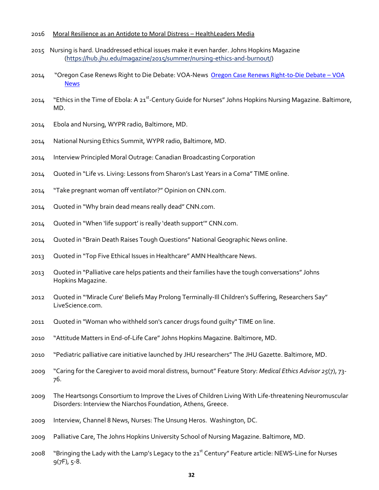#### 2016 Moral Resilience as an Antidote to Moral Distress – HealthLeaders Media

- 2015 Nursing is hard. Unaddressed ethical issues make it even harder. Johns Hopkins Magazine (https://hub.jhu.edu/magazine/2015/summer/nursing-ethics-and-burnout/)
- 2014 "Oregon Case Renews Right to Die Debate: VOA-News Oregon Case Renews Right-to-Die Debate VOA News
- 2014 "Ethics in the Time of Ebola: A 21<sup>st</sup>-Century Guide for Nurses" Johns Hopkins Nursing Magazine. Baltimore, MD.
- 2014 Ebola and Nursing, WYPR radio, Baltimore, MD.
- 2014 National Nursing Ethics Summit, WYPR radio, Baltimore, MD.
- 2014 Interview Principled Moral Outrage: Canadian Broadcasting Corporation
- 2014 Quoted in "Life vs. Living: Lessons from Sharon's Last Years in a Coma" TIME online.
- 2014 "Take pregnant woman off ventilator?" Opinion on CNN.com.
- 2014 Quoted in "Why brain dead means really dead" CNN.com.
- 2014 Quoted in "When 'life support' is really 'death support'" CNN.com.
- 2014 Quoted in "Brain Death Raises Tough Questions" National Geographic News online.
- 2013 Quoted in "Top Five Ethical Issues in Healthcare" AMN Healthcare News.
- 2013 Quoted in "Palliative care helps patients and their families have the tough conversations" Johns Hopkins Magazine.
- 2012 Quoted in "'Miracle Cure' Beliefs May Prolong Terminally-Ill Children's Suffering, Researchers Say" LiveScience.com.
- 2011 Quoted in "Woman who withheld son's cancer drugs found guilty" TIME on line.
- 2010 "Attitude Matters in End-of-Life Care" Johns Hopkins Magazine. Baltimore, MD.
- 2010 "Pediatric palliative care initiative launched by JHU researchers" The JHU Gazette. Baltimore, MD.
- 2009 "Caring for the Caregiver to avoid moral distress, burnout" Feature Story: *Medical Ethics Advisor 25*(7), 73- 76.
- 2009 The Heartsongs Consortium to Improve the Lives of Children Living With Life-threatening Neuromuscular Disorders: Interview the Niarchos Foundation, Athens, Greece.
- 2009 Interview, Channel 8 News, Nurses: The Unsung Heros. Washington, DC.
- 2009 Palliative Care, The Johns Hopkins University School of Nursing Magazine. Baltimore, MD.
- 2008 "Bringing the Lady with the Lamp's Legacy to the 21<sup>st</sup> Century" Feature article: NEWS-Line for Nurses  $9(7F)$ ,  $5-8$ .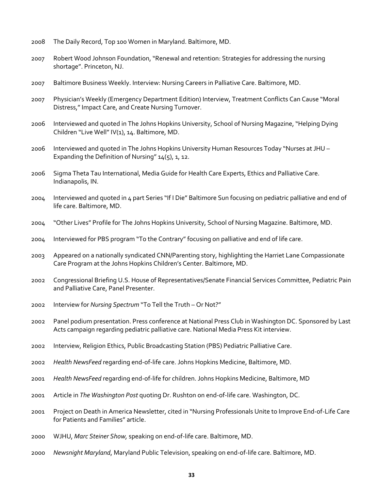- The Daily Record, Top 100 Women in Maryland. Baltimore, MD.
- Robert Wood Johnson Foundation, "Renewal and retention: Strategies for addressing the nursing shortage". Princeton, NJ.
- Baltimore Business Weekly. Interview: Nursing Careers in Palliative Care. Baltimore, MD.
- Physician's Weekly (Emergency Department Edition) Interview, Treatment Conflicts Can Cause "Moral Distress," Impact Care, and Create Nursing Turnover.
- Interviewed and quoted in The Johns Hopkins University, School of Nursing Magazine, "Helping Dying Children "Live Well" IV(1), 14. Baltimore, MD.
- Interviewed and quoted in The Johns Hopkins University Human Resources Today "Nurses at JHU Expanding the Definition of Nursing"  $14(5)$ , 1, 12.
- Sigma Theta Tau International, Media Guide for Health Care Experts, Ethics and Palliative Care. Indianapolis, IN.
- Interviewed and quoted in 4 part Series "If I Die" Baltimore Sun focusing on pediatric palliative and end of life care. Baltimore, MD.
- "Other Lives" Profile for The Johns Hopkins University, School of Nursing Magazine. Baltimore, MD.
- Interviewed for PBS program "To the Contrary" focusing on palliative and end of life care.
- Appeared on a nationally syndicated CNN/Parenting story, highlighting the Harriet Lane Compassionate Care Program at the Johns Hopkins Children's Center. Baltimore, MD.
- Congressional Briefing U.S. House of Representatives/Senate Financial Services Committee, Pediatric Pain and Palliative Care, Panel Presenter.
- Interview for *Nursing Spectrum* "To Tell the Truth Or Not?"
- Panel podium presentation. Press conference at National Press Club in Washington DC. Sponsored by Last Acts campaign regarding pediatric palliative care. National Media Press Kit interview.
- Interview, Religion Ethics, Public Broadcasting Station (PBS) Pediatric Palliative Care.
- *Health NewsFeed* regarding end-of-life care. Johns Hopkins Medicine, Baltimore, MD.
- *Health NewsFeed* regarding end-of-life for children. Johns Hopkins Medicine, Baltimore, MD
- Article in *The Washington Post* quoting Dr. Rushton on end-of-life care. Washington, DC.
- Project on Death in America Newsletter, cited in "Nursing Professionals Unite to Improve End-of-Life Care for Patients and Families" article.
- WJHU, *Marc Steiner Show,* speaking on end-of-life care. Baltimore, MD.
- *Newsnight Maryland*, Maryland Public Television, speaking on end-of-life care. Baltimore, MD.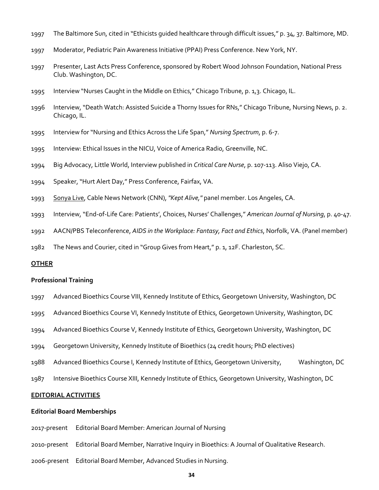- The Baltimore Sun, cited in "Ethicists guided healthcare through difficult issues," p. 34, 37. Baltimore, MD.
- Moderator, Pediatric Pain Awareness Initiative (PPAI) Press Conference. New York, NY.
- Presenter, Last Acts Press Conference, sponsored by Robert Wood Johnson Foundation, National Press Club. Washington, DC.
- Interview "Nurses Caught in the Middle on Ethics," Chicago Tribune, p. 1,3. Chicago, IL.
- Interview, "Death Watch: Assisted Suicide a Thorny Issues for RNs," Chicago Tribune, Nursing News, p. 2. Chicago, IL.
- Interview for "Nursing and Ethics Across the Life Span," *Nursing Spectrum*, p. 6-7.
- Interview: Ethical Issues in the NICU, Voice of America Radio, Greenville, NC.
- Big Advocacy, Little World, Interview published in *Critical Care Nurse*, p. 107-113. Aliso Viejo, CA.
- Speaker, "Hurt Alert Day," Press Conference, Fairfax, VA.
- Sonya Live, Cable News Network (CNN), *"Kept Alive,"* panel member. Los Angeles, CA.
- Interview, "End-of-Life Care: Patients', Choices, Nurses' Challenges," *American Journal of Nursing*, p. 40-47.
- AACN/PBS Teleconference, *AIDS in the Workplace: Fantasy, Fact and Ethics*, Norfolk, VA. (Panel member)
- The News and Courier, cited in "Group Gives from Heart," p. 1, 12F. Charleston, SC.

#### **OTHER**

#### **Professional Training**

- Advanced Bioethics Course VIII, Kennedy Institute of Ethics, Georgetown University, Washington, DC
- Advanced Bioethics Course VI, Kennedy Institute of Ethics, Georgetown University, Washington, DC
- Advanced Bioethics Course V, Kennedy Institute of Ethics, Georgetown University, Washington, DC
- Georgetown University, Kennedy Institute of Bioethics (24 credit hours; PhD electives)
- Advanced Bioethics Course I, Kennedy Institute of Ethics, Georgetown University, Washington, DC
- Intensive Bioethics Course XIII, Kennedy Institute of Ethics, Georgetown University, Washington, DC

#### **EDITORIAL ACTIVITIES**

#### **Editorial Board Memberships**

- 2017-present Editorial Board Member: American Journal of Nursing
- 2010-present Editorial Board Member, Narrative Inquiry in Bioethics: A Journal of Qualitative Research.
- 2006-present Editorial Board Member, Advanced Studies in Nursing.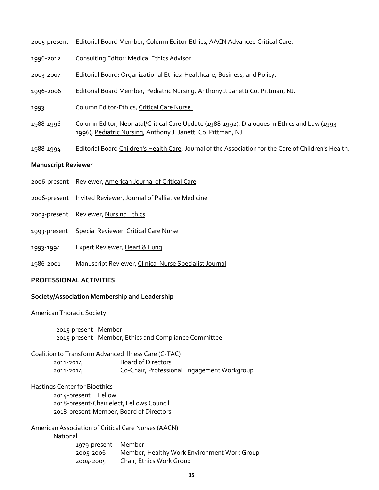| <b>Manuscript Reviewer</b> |                                                                                                                                                               |  |
|----------------------------|---------------------------------------------------------------------------------------------------------------------------------------------------------------|--|
| 1988-1994                  | Editorial Board Children's Health Care, Journal of the Association for the Care of Children's Health.                                                         |  |
| 1988-1996                  | Column Editor, Neonatal/Critical Care Update (1988-1992), Dialogues in Ethics and Law (1993-<br>1996), Pediatric Nursing, Anthony J. Janetti Co. Pittman, NJ. |  |
| 1993                       | Column Editor-Ethics, Critical Care Nurse.                                                                                                                    |  |
| 1996-2006                  | Editorial Board Member, Pediatric Nursing, Anthony J. Janetti Co. Pittman, NJ.                                                                                |  |
| 2003-2007                  | Editorial Board: Organizational Ethics: Healthcare, Business, and Policy.                                                                                     |  |
| 1996-2012                  | Consulting Editor: Medical Ethics Advisor.                                                                                                                    |  |
| 2005-present               | Editorial Board Member, Column Editor-Ethics, AACN Advanced Critical Care.                                                                                    |  |

### 2006-present Reviewer, American Journal of Critical Care

- 2006-present Invited Reviewer, Journal of Palliative Medicine
- 2003-present Reviewer, Nursing Ethics
- 1993-present Special Reviewer, Critical Care Nurse
- 1993-1994 Expert Reviewer, Heart & Lung
- 1986-2001 Manuscript Reviewer, Clinical Nurse Specialist Journal

#### **PROFESSIONAL ACTIVITIES**

#### **Society/Association Membership and Leadership**

American Thoracic Society

2015-present Member 2015-present Member, Ethics and Compliance Committee

Coalition to Transform Advanced Illness Care (C-TAC) 2011-2014 Board of Directors 2011-2014 Co-Chair, Professional Engagement Workgroup

Hastings Center for Bioethics 2014-present Fellow 2018-present-Chair elect, Fellows Council 2018-present-Member, Board of Directors

American Association of Critical Care Nurses (AACN)

National

1979-present Member 2005-2006 Member, Healthy Work Environment Work Group 2004-2005 Chair, Ethics Work Group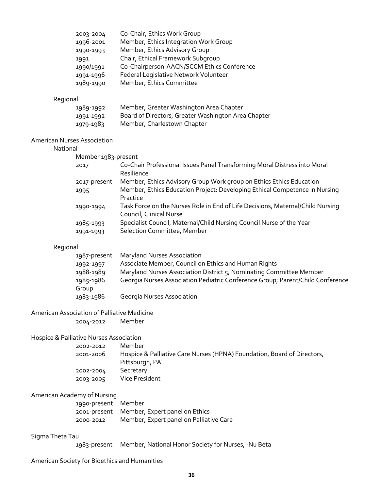| 2003-2004 | Co-Chair, Ethics Work Group                |
|-----------|--------------------------------------------|
| 1996-2001 | Member, Ethics Integration Work Group      |
| 1990-1993 | Member, Ethics Advisory Group              |
| 1991      | Chair, Ethical Framework Subgroup          |
| 1990/1991 | Co-Chairperson-AACN/SCCM Ethics Conference |
| 1991-1996 | Federal Legislative Network Volunteer      |
| 1989-1990 | Member, Ethics Committee                   |

## Regional

| 1989-1992 | Member, Greater Washington Area Chapter             |
|-----------|-----------------------------------------------------|
| 1991-1992 | Board of Directors, Greater Washington Area Chapter |
| 1979-1983 | Member, Charlestown Chapter                         |

### American Nurses Association

#### National

| Member 1983-present |                                                                                |
|---------------------|--------------------------------------------------------------------------------|
| 2017                | Co-Chair Professional Issues Panel Transforming Moral Distress into Moral      |
|                     | Resilience                                                                     |
| 2017-present        | Member, Ethics Advisory Group Work group on Ethics Ethics Education            |
| 1995                | Member, Ethics Education Project: Developing Ethical Competence in Nursing     |
|                     | Practice                                                                       |
| 1990-1994           | Task Force on the Nurses Role in End of Life Decisions, Maternal/Child Nursing |
|                     | Council; Clinical Nurse                                                        |
| 1985-1993           | Specialist Council, Maternal/Child Nursing Council Nurse of the Year           |
| 1991-1993           | Selection Committee, Member                                                    |

## Regional

| 1987-present | <b>Maryland Nurses Association</b>                                             |
|--------------|--------------------------------------------------------------------------------|
| 1992-1997    | Associate Member, Council on Ethics and Human Rights                           |
| 1988-1989    | Maryland Nurses Association District 5, Nominating Committee Member            |
| 1985-1986    | Georgia Nurses Association Pediatric Conference Group; Parent/Child Conference |
| Group        |                                                                                |
| 1983-1986    | <b>Georgia Nurses Association</b>                                              |

#### American Association of Palliative Medicine

2004-2012 Member

## Hospice & Palliative Nurses Association

| 2002-2012 | Member                                                                  |
|-----------|-------------------------------------------------------------------------|
| 2001-2006 | Hospice & Palliative Care Nurses (HPNA) Foundation, Board of Directors, |
|           | Pittsburgh, PA.                                                         |
| 2002-2004 | Secretary                                                               |
| 2003-2005 | Vice President                                                          |

### American Academy of Nursing

| 1990-present Member |                                             |
|---------------------|---------------------------------------------|
|                     | 2001-present Member, Expert panel on Ethics |
| 2000-2012           | Member, Expert panel on Palliative Care     |

### Sigma Theta Tau

1983-present Member, National Honor Society for Nurses, -Nu Beta

## American Society for Bioethics and Humanities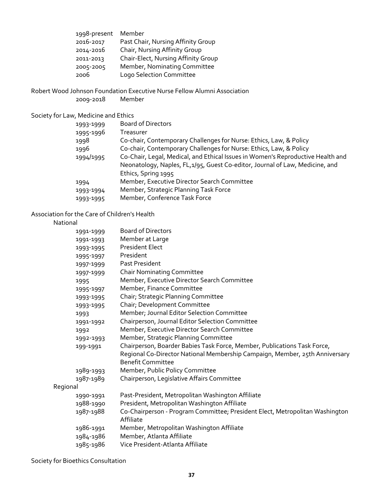| 1998-present | Member                              |
|--------------|-------------------------------------|
| 2016-2017    | Past Chair, Nursing Affinity Group  |
| 2014-2016    | Chair, Nursing Affinity Group       |
| 2011-2013    | Chair-Elect, Nursing Affinity Group |
| 2005-2005    | Member, Nominating Committee        |
| 2006         | Logo Selection Committee            |

Robert Wood Johnson Foundation Executive Nurse Fellow Alumni Association

2009-2018

### Society for Law, Medicine and Ethics

| <b>Board of Directors</b>                                                       |
|---------------------------------------------------------------------------------|
| Treasurer                                                                       |
| Co-chair, Contemporary Challenges for Nurse: Ethics, Law, & Policy              |
| Co-chair, Contemporary Challenges for Nurse: Ethics, Law, & Policy              |
| Co-Chair, Legal, Medical, and Ethical Issues in Women's Reproductive Health and |
| Neonatology, Naples, FL,1/95, Guest Co-editor, Journal of Law, Medicine, and    |
| Ethics, Spring 1995                                                             |
| Member, Executive Director Search Committee                                     |
| Member, Strategic Planning Task Force                                           |
| Member, Conference Task Force                                                   |
|                                                                                 |

## Association for the Care of Children's Health

National

|          | 1991-1999 | <b>Board of Directors</b>                                                                               |
|----------|-----------|---------------------------------------------------------------------------------------------------------|
|          | 1991-1993 | Member at Large                                                                                         |
|          | 1993-1995 | <b>President Elect</b>                                                                                  |
|          | 1995-1997 | President                                                                                               |
|          | 1997-1999 | Past President                                                                                          |
|          | 1997-1999 | <b>Chair Nominating Committee</b>                                                                       |
|          | 1995      | Member, Executive Director Search Committee                                                             |
|          | 1995-1997 | Member, Finance Committee                                                                               |
|          | 1993-1995 | Chair; Strategic Planning Committee                                                                     |
|          | 1993-1995 | Chair; Development Committee                                                                            |
|          | 1993      | Member; Journal Editor Selection Committee                                                              |
|          | 1991-1992 | Chairperson, Journal Editor Selection Committee                                                         |
|          | 1992      | Member, Executive Director Search Committee                                                             |
|          | 1992-1993 | Member, Strategic Planning Committee                                                                    |
|          | 199-1991  | Chairperson, Boarder Babies Task Force, Member, Publications Task Force,                                |
|          |           | Regional Co-Director National Membership Campaign, Member, 25th Anniversary<br><b>Benefit Committee</b> |
|          | 1989-1993 | Member, Public Policy Committee                                                                         |
|          | 1987-1989 | Chairperson, Legislative Affairs Committee                                                              |
| Regional |           |                                                                                                         |
|          | 1990-1991 | Past-President, Metropolitan Washington Affiliate                                                       |
|          | 1988-1990 | President, Metropolitan Washington Affiliate                                                            |
|          | 1987-1988 | Co-Chairperson - Program Committee; President Elect, Metropolitan Washington                            |
|          |           | Affiliate                                                                                               |
|          | 1986-1991 | Member, Metropolitan Washington Affiliate                                                               |
|          | 1984-1986 | Member, Atlanta Affiliate                                                                               |
|          | 1985-1986 | Vice President-Atlanta Affiliate                                                                        |
|          |           |                                                                                                         |

Society for Bioethics Consultation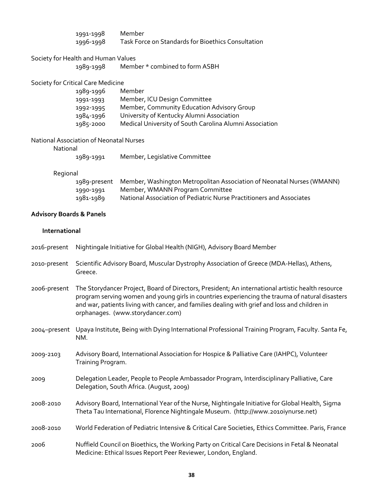|                                     | 1991-1998<br>1996-1998                           | Member<br>Task Force on Standards for Bioethics Consultation                                                                                                                                                                                                                                                                                |
|-------------------------------------|--------------------------------------------------|---------------------------------------------------------------------------------------------------------------------------------------------------------------------------------------------------------------------------------------------------------------------------------------------------------------------------------------------|
|                                     | Society for Health and Human Values<br>1989-1998 | Member * combined to form ASBH                                                                                                                                                                                                                                                                                                              |
|                                     |                                                  |                                                                                                                                                                                                                                                                                                                                             |
|                                     | Society for Critical Care Medicine<br>1989-1996  | Member                                                                                                                                                                                                                                                                                                                                      |
|                                     | 1991-1993                                        | Member, ICU Design Committee                                                                                                                                                                                                                                                                                                                |
|                                     | 1992-1995                                        | Member, Community Education Advisory Group                                                                                                                                                                                                                                                                                                  |
|                                     | 1984-1996                                        | University of Kentucky Alumni Association                                                                                                                                                                                                                                                                                                   |
|                                     | 1985-2000                                        | Medical University of South Carolina Alumni Association                                                                                                                                                                                                                                                                                     |
|                                     | National Association of Neonatal Nurses          |                                                                                                                                                                                                                                                                                                                                             |
| National                            |                                                  |                                                                                                                                                                                                                                                                                                                                             |
|                                     | 1989-1991                                        | Member, Legislative Committee                                                                                                                                                                                                                                                                                                               |
| Regional                            |                                                  |                                                                                                                                                                                                                                                                                                                                             |
|                                     | 1989-present                                     | Member, Washington Metropolitan Association of Neonatal Nurses (WMANN)                                                                                                                                                                                                                                                                      |
|                                     | 1990-1991                                        | Member, WMANN Program Committee                                                                                                                                                                                                                                                                                                             |
|                                     | 1981-1989                                        | National Association of Pediatric Nurse Practitioners and Associates                                                                                                                                                                                                                                                                        |
| <b>Advisory Boards &amp; Panels</b> |                                                  |                                                                                                                                                                                                                                                                                                                                             |
| International                       |                                                  |                                                                                                                                                                                                                                                                                                                                             |
| 2016-present                        |                                                  | Nightingale Initiative for Global Health (NIGH), Advisory Board Member                                                                                                                                                                                                                                                                      |
| 2010-present                        | Greece.                                          | Scientific Advisory Board, Muscular Dystrophy Association of Greece (MDA-Hellas), Athens,                                                                                                                                                                                                                                                   |
| 2006-present                        |                                                  | The Storydancer Project, Board of Directors, President; An international artistic health resource<br>program serving women and young girls in countries experiencing the trauma of natural disasters<br>and war, patients living with cancer, and families dealing with grief and loss and children in<br>orphanages. (www.storydancer.com) |
|                                     | NM.                                              | 2004-present Upaya Institute, Being with Dying International Professional Training Program, Faculty. Santa Fe,                                                                                                                                                                                                                              |
| 2009-2103                           | Training Program.                                | Advisory Board, International Association for Hospice & Palliative Care (IAHPC), Volunteer                                                                                                                                                                                                                                                  |
| 2009                                |                                                  | Delegation Leader, People to People Ambassador Program, Interdisciplinary Palliative, Care<br>Delegation, South Africa. (August, 2009)                                                                                                                                                                                                      |
| 2008-2010                           |                                                  | Advisory Board, International Year of the Nurse, Nightingale Initiative for Global Health, Sigma<br>Theta Tau International, Florence Nightingale Museum. (http://www.2010iynurse.net)                                                                                                                                                      |
| 2008-2010                           |                                                  | World Federation of Pediatric Intensive & Critical Care Societies, Ethics Committee. Paris, France                                                                                                                                                                                                                                          |

2006 Nuffield Council on Bioethics, the Working Party on Critical Care Decisions in Fetal & Neonatal Medicine: Ethical Issues Report Peer Reviewer, London, England.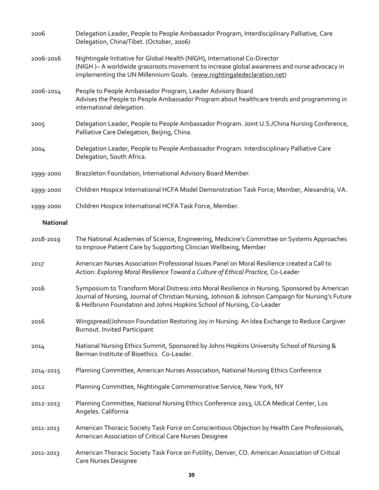| 2006            | Delegation Leader, People to People Ambassador Program, Interdisciplinary Palliative, Care<br>Delegation, China/Tibet. (October, 2006)                                                                                                                                      |
|-----------------|-----------------------------------------------------------------------------------------------------------------------------------------------------------------------------------------------------------------------------------------------------------------------------|
| 2006-2016       | Nightingale Initiative for Global Health (NIGH), International Co-Director<br>(NIGH) - A worldwide grassroots movement to increase global awareness and nurse advocacy in<br>implementing the UN Millennium Goals. (www.nightingaledeclaration.net)                         |
| 2006-2014       | People to People Ambassador Program, Leader Advisory Board<br>Advises the People to People Ambassador Program about healthcare trends and programming in<br>international delegation.                                                                                       |
| 2005            | Delegation Leader, People to People Ambassador Program. Joint U.S./China Nursing Conference,<br>Palliative Care Delegation, Beijing, China.                                                                                                                                 |
| 2004            | Delegation Leader, People to People Ambassador Program. Interdisciplinary Palliative Care<br>Delegation, South Africa.                                                                                                                                                      |
| 1999-2000       | Brazzleton Foundation, International Advisory Board Member.                                                                                                                                                                                                                 |
| 1999-2000       | Children Hospice International HCFA Model Demonstration Task Force; Member, Alexandria, VA.                                                                                                                                                                                 |
| 1999-2000       | Children Hospice International HCFA Task Force, Member.                                                                                                                                                                                                                     |
| <b>National</b> |                                                                                                                                                                                                                                                                             |
| 2018-2019       | The National Academies of Science, Engineering, Medicine's Committee on Systems Approaches<br>to Improve Patient Care by Supporting Clinician Wellbeing, Member                                                                                                             |
| 2017            | American Nurses Association Professional Issues Panel on Moral Resilience created a Call to<br>Action: Exploring Moral Resilience Toward a Culture of Ethical Practice, Co-Leader                                                                                           |
| 2016            | Symposium to Transform Moral Distress into Moral Resilience in Nursing. Sponsored by American<br>Journal of Nursing, Journal of Christian Nursing, Johnson & Johnson Campaign for Nursing's Future<br>& Heilbrunn Foundation and Johns Hopkins School of Nursing, Co-Leader |
| 2016            | Wingspread/Johnson Foundation Restoring Joy in Nursing: An Idea Exchange to Reduce Cargiver<br>Burnout. Invited Participant                                                                                                                                                 |
| 2014            | National Nursing Ethics Summit, Sponsored by Johns Hopkins University School of Nursing &<br>Berman Institute of Bioethics. Co-Leader.                                                                                                                                      |
| 2014-2015       | Planning Committee, American Nurses Association, National Nursing Ethics Conference                                                                                                                                                                                         |
| 2012            | Planning Committee, Nightingale Commemorative Service, New York, NY                                                                                                                                                                                                         |
| 2012-2013       | Planning Committee, National Nursing Ethics Conference 2013, ULCA Medical Center, Los<br>Angeles. California                                                                                                                                                                |
| 2011-2013       | American Thoracic Society Task Force on Conscientious Objection by Health Care Professionals,<br>American Association of Critical Care Nurses Designee                                                                                                                      |
| 2011-2013       | American Thoracic Society Task Force on Futility, Denver, CO. American Association of Critical<br><b>Care Nurses Designee</b>                                                                                                                                               |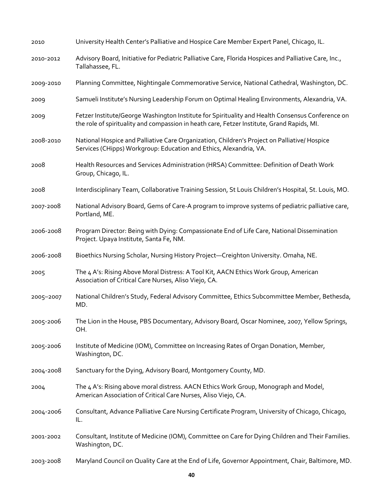| 2010      | University Health Center's Palliative and Hospice Care Member Expert Panel, Chicago, IL.                                                                                                       |
|-----------|------------------------------------------------------------------------------------------------------------------------------------------------------------------------------------------------|
| 2010-2012 | Advisory Board, Initiative for Pediatric Palliative Care, Florida Hospices and Palliative Care, Inc.,<br>Tallahassee, FL.                                                                      |
| 2009-2010 | Planning Committee, Nightingale Commemorative Service, National Cathedral, Washington, DC.                                                                                                     |
| 2009      | Samueli Institute's Nursing Leadership Forum on Optimal Healing Environments, Alexandria, VA.                                                                                                  |
| 2009      | Fetzer Institute/George Washington Institute for Spirituality and Health Consensus Conference on<br>the role of spirituality and compassion in heath care, Fetzer Institute, Grand Rapids, MI. |
| 2008-2010 | National Hospice and Palliative Care Organization, Children's Project on Palliative/ Hospice<br>Services (CHipps) Workgroup: Education and Ethics, Alexandria, VA.                             |
| 2008      | Health Resources and Services Administration (HRSA) Committee: Definition of Death Work<br>Group, Chicago, IL.                                                                                 |
| 2008      | Interdisciplinary Team, Collaborative Training Session, St Louis Children's Hospital, St. Louis, MO.                                                                                           |
| 2007-2008 | National Advisory Board, Gems of Care-A program to improve systems of pediatric palliative care,<br>Portland, ME.                                                                              |
| 2006-2008 | Program Director: Being with Dying: Compassionate End of Life Care, National Dissemination<br>Project. Upaya Institute, Santa Fe, NM.                                                          |
| 2006-2008 | Bioethics Nursing Scholar, Nursing History Project-Creighton University. Omaha, NE.                                                                                                            |
| 2005      | The 4 A's: Rising Above Moral Distress: A Tool Kit, AACN Ethics Work Group, American<br>Association of Critical Care Nurses, Aliso Viejo, CA.                                                  |
| 2005-2007 | National Children's Study, Federal Advisory Committee, Ethics Subcommittee Member, Bethesda,<br>MD.                                                                                            |
| 2005-2006 | The Lion in the House, PBS Documentary, Advisory Board, Oscar Nominee, 2007, Yellow Springs,<br>OH.                                                                                            |
| 2005-2006 | Institute of Medicine (IOM), Committee on Increasing Rates of Organ Donation, Member,<br>Washington, DC.                                                                                       |
| 2004-2008 | Sanctuary for the Dying, Advisory Board, Montgomery County, MD.                                                                                                                                |
| 2004      | The 4 A's: Rising above moral distress. AACN Ethics Work Group, Monograph and Model,<br>American Association of Critical Care Nurses, Aliso Viejo, CA.                                         |
| 2004-2006 | Consultant, Advance Palliative Care Nursing Certificate Program, University of Chicago, Chicago,<br>IL.                                                                                        |
| 2001-2002 | Consultant, Institute of Medicine (IOM), Committee on Care for Dying Children and Their Families.<br>Washington, DC.                                                                           |
| 2003-2008 | Maryland Council on Quality Care at the End of Life, Governor Appointment, Chair, Baltimore, MD.                                                                                               |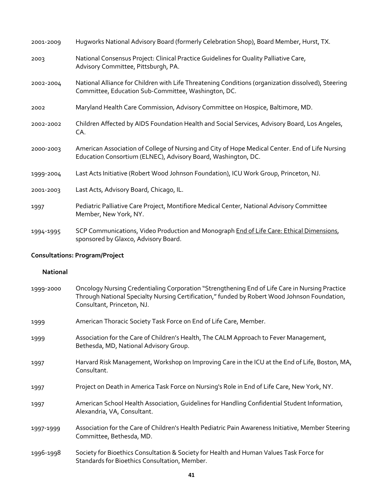| 2001-2009 | Hugworks National Advisory Board (formerly Celebration Shop), Board Member, Hurst, TX.                                                                           |
|-----------|------------------------------------------------------------------------------------------------------------------------------------------------------------------|
| 2003      | National Consensus Project: Clinical Practice Guidelines for Quality Palliative Care,<br>Advisory Committee, Pittsburgh, PA.                                     |
| 2002-2004 | National Alliance for Children with Life Threatening Conditions (organization dissolved), Steering<br>Committee, Education Sub-Committee, Washington, DC.        |
| 2002      | Maryland Health Care Commission, Advisory Committee on Hospice, Baltimore, MD.                                                                                   |
| 2002-2002 | Children Affected by AIDS Foundation Health and Social Services, Advisory Board, Los Angeles,<br>CA.                                                             |
| 2000-2003 | American Association of College of Nursing and City of Hope Medical Center. End of Life Nursing<br>Education Consortium (ELNEC), Advisory Board, Washington, DC. |
| 1999-2004 | Last Acts Initiative (Robert Wood Johnson Foundation), ICU Work Group, Princeton, NJ.                                                                            |
| 2001-2003 | Last Acts, Advisory Board, Chicago, IL.                                                                                                                          |
| 1997      | Pediatric Palliative Care Project, Montifiore Medical Center, National Advisory Committee<br>Member, New York, NY.                                               |
| 1994-1995 | SCP Communications, Video Production and Monograph End of Life Care: Ethical Dimensions,<br>sponsored by Glaxco, Advisory Board.                                 |

# **Consultations: Program/Project**

## **National**

| 1999-2000 | Oncology Nursing Credentialing Corporation "Strengthening End of Life Care in Nursing Practice<br>Through National Specialty Nursing Certification," funded by Robert Wood Johnson Foundation,<br>Consultant, Princeton, NJ. |
|-----------|------------------------------------------------------------------------------------------------------------------------------------------------------------------------------------------------------------------------------|
| 1999      | American Thoracic Society Task Force on End of Life Care, Member.                                                                                                                                                            |
| 1999      | Association for the Care of Children's Health, The CALM Approach to Fever Management,<br>Bethesda, MD, National Advisory Group.                                                                                              |
| 1997      | Harvard Risk Management, Workshop on Improving Care in the ICU at the End of Life, Boston, MA,<br>Consultant.                                                                                                                |
| 1997      | Project on Death in America Task Force on Nursing's Role in End of Life Care, New York, NY.                                                                                                                                  |
| 1997      | American School Health Association, Guidelines for Handling Confidential Student Information,<br>Alexandria, VA, Consultant.                                                                                                 |
| 1997-1999 | Association for the Care of Children's Health Pediatric Pain Awareness Initiative, Member Steering<br>Committee, Bethesda, MD.                                                                                               |
| 1996-1998 | Society for Bioethics Consultation & Society for Health and Human Values Task Force for<br>Standards for Bioethics Consultation, Member.                                                                                     |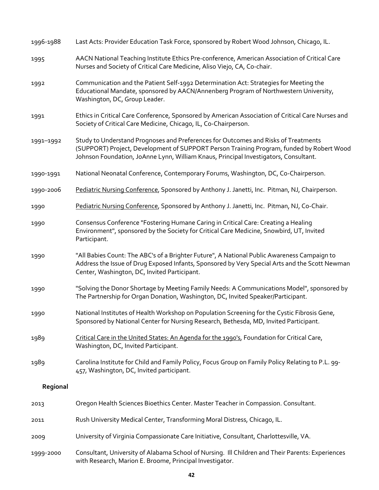| 1996-1988 | Last Acts: Provider Education Task Force, sponsored by Robert Wood Johnson, Chicago, IL.                                                                                                                                                                               |
|-----------|------------------------------------------------------------------------------------------------------------------------------------------------------------------------------------------------------------------------------------------------------------------------|
| 1995      | AACN National Teaching Institute Ethics Pre-conference, American Association of Critical Care<br>Nurses and Society of Critical Care Medicine, Aliso Viejo, CA, Co-chair.                                                                                              |
| 1992      | Communication and the Patient Self-1992 Determination Act: Strategies for Meeting the<br>Educational Mandate, sponsored by AACN/Annenberg Program of Northwestern University,<br>Washington, DC, Group Leader.                                                         |
| 1991      | Ethics in Critical Care Conference, Sponsored by American Association of Critical Care Nurses and<br>Society of Critical Care Medicine, Chicago, IL, Co-Chairperson.                                                                                                   |
| 1991-1992 | Study to Understand Prognoses and Preferences for Outcomes and Risks of Treatments<br>(SUPPORT) Project, Development of SUPPORT Person Training Program, funded by Robert Wood<br>Johnson Foundation, JoAnne Lynn, William Knaus, Principal Investigators, Consultant. |
| 1990-1991 | National Neonatal Conference, Contemporary Forums, Washington, DC, Co-Chairperson.                                                                                                                                                                                     |
| 1990-2006 | Pediatric Nursing Conference, Sponsored by Anthony J. Janetti, Inc. Pitman, NJ, Chairperson.                                                                                                                                                                           |
| 1990      | Pediatric Nursing Conference, Sponsored by Anthony J. Janetti, Inc. Pitman, NJ, Co-Chair.                                                                                                                                                                              |
| 1990      | Consensus Conference "Fostering Humane Caring in Critical Care: Creating a Healing<br>Environment", sponsored by the Society for Critical Care Medicine, Snowbird, UT, Invited<br>Participant.                                                                         |
| 1990      | "All Babies Count: The ABC's of a Brighter Future", A National Public Awareness Campaign to<br>Address the Issue of Drug Exposed Infants, Sponsored by Very Special Arts and the Scott Newman<br>Center, Washington, DC, Invited Participant.                          |
| 1990      | "Solving the Donor Shortage by Meeting Family Needs: A Communications Model", sponsored by<br>The Partnership for Organ Donation, Washington, DC, Invited Speaker/Participant.                                                                                         |
| 1990      | National Institutes of Health Workshop on Population Screening for the Cystic Fibrosis Gene,<br>Sponsored by National Center for Nursing Research, Bethesda, MD, Invited Participant.                                                                                  |
| 1989      | Critical Care in the United States: An Agenda for the 1990's, Foundation for Critical Care,<br>Washington, DC, Invited Participant.                                                                                                                                    |
| 1989      | Carolina Institute for Child and Family Policy, Focus Group on Family Policy Relating to P.L. 99-<br>457, Washington, DC, Invited participant.                                                                                                                         |
| Regional  |                                                                                                                                                                                                                                                                        |
| 2013      | Oregon Health Sciences Bioethics Center. Master Teacher in Compassion. Consultant.                                                                                                                                                                                     |
| 2011      | Rush University Medical Center, Transforming Moral Distress, Chicago, IL.                                                                                                                                                                                              |
| 2009      | University of Virginia Compassionate Care Initiative, Consultant, Charlottesville, VA.                                                                                                                                                                                 |
| 1999-2000 | Consultant, University of Alabama School of Nursing. Ill Children and Their Parents: Experiences<br>with Research, Marion E. Broome, Principal Investigator.                                                                                                           |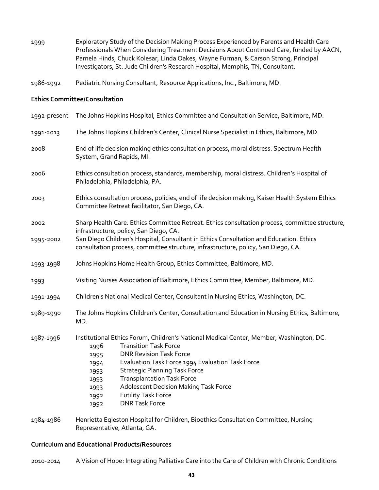1999 Exploratory Study of the Decision Making Process Experienced by Parents and Health Care Professionals When Considering Treatment Decisions About Continued Care, funded by AACN, Pamela Hinds, Chuck Kolesar, Linda Oakes, Wayne Furman, & Carson Strong, Principal Investigators, St. Jude Children's Research Hospital, Memphis, TN, Consultant.

1986-1992 Pediatric Nursing Consultant, Resource Applications, Inc., Baltimore, MD.

#### **Ethics Committee/Consultation**

| 1992-present | The Johns Hopkins Hospital, Ethics Committee and Consultation Service, Baltimore, MD.                                                                                                                                                                                                                                                                                                                                                                             |
|--------------|-------------------------------------------------------------------------------------------------------------------------------------------------------------------------------------------------------------------------------------------------------------------------------------------------------------------------------------------------------------------------------------------------------------------------------------------------------------------|
| 1991-2013    | The Johns Hopkins Children's Center, Clinical Nurse Specialist in Ethics, Baltimore, MD.                                                                                                                                                                                                                                                                                                                                                                          |
| 2008         | End of life decision making ethics consultation process, moral distress. Spectrum Health<br>System, Grand Rapids, MI.                                                                                                                                                                                                                                                                                                                                             |
| 2006         | Ethics consultation process, standards, membership, moral distress. Children's Hospital of<br>Philadelphia, Philadelphia, PA.                                                                                                                                                                                                                                                                                                                                     |
| 2003         | Ethics consultation process, policies, end of life decision making, Kaiser Health System Ethics<br>Committee Retreat facilitator, San Diego, CA.                                                                                                                                                                                                                                                                                                                  |
| 2002         | Sharp Health Care. Ethics Committee Retreat. Ethics consultation process, committee structure,<br>infrastructure, policy, San Diego, CA.                                                                                                                                                                                                                                                                                                                          |
| 1995-2002    | San Diego Children's Hospital, Consultant in Ethics Consultation and Education. Ethics<br>consultation process, committee structure, infrastructure, policy, San Diego, CA.                                                                                                                                                                                                                                                                                       |
| 1993-1998    | Johns Hopkins Home Health Group, Ethics Committee, Baltimore, MD.                                                                                                                                                                                                                                                                                                                                                                                                 |
| 1993         | Visiting Nurses Association of Baltimore, Ethics Committee, Member, Baltimore, MD.                                                                                                                                                                                                                                                                                                                                                                                |
| 1991-1994    | Children's National Medical Center, Consultant in Nursing Ethics, Washington, DC.                                                                                                                                                                                                                                                                                                                                                                                 |
| 1989-1990    | The Johns Hopkins Children's Center, Consultation and Education in Nursing Ethics, Baltimore,<br>MD.                                                                                                                                                                                                                                                                                                                                                              |
| 1987-1996    | Institutional Ethics Forum, Children's National Medical Center, Member, Washington, DC.<br><b>Transition Task Force</b><br>1996<br><b>DNR Revision Task Force</b><br>1995<br>Evaluation Task Force 1994 Evaluation Task Force<br>1994<br><b>Strategic Planning Task Force</b><br>1993<br><b>Transplantation Task Force</b><br>1993<br><b>Adolescent Decision Making Task Force</b><br>1993<br><b>Futility Task Force</b><br>1992<br><b>DNR Task Force</b><br>1992 |
| 1984-1986    | Henrietta Egleston Hospital for Children, Bioethics Consultation Committee, Nursing                                                                                                                                                                                                                                                                                                                                                                               |

#### **Curriculum and Educational Products/Resources**

Representative, Atlanta, GA.

2010-2014 A Vision of Hope: Integrating Palliative Care into the Care of Children with Chronic Conditions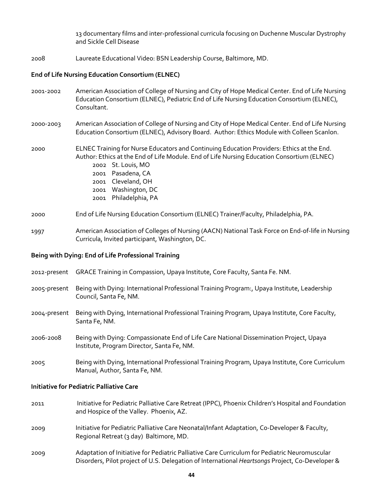13 documentary films and inter-professional curricula focusing on Duchenne Muscular Dystrophy and Sickle Cell Disease

2008 Laureate Educational Video: BSN Leadership Course, Baltimore, MD.

#### **End of Life Nursing Education Consortium (ELNEC)**

- 2001-2002 American Association of College of Nursing and City of Hope Medical Center. End of Life Nursing Education Consortium (ELNEC), Pediatric End of Life Nursing Education Consortium (ELNEC), Consultant.
- 2000-2003 American Association of College of Nursing and City of Hope Medical Center. End of Life Nursing Education Consortium (ELNEC), Advisory Board. Author: Ethics Module with Colleen Scanlon.

### 2000 ELNEC Training for Nurse Educators and Continuing Education Providers: Ethics at the End. Author: Ethics at the End of Life Module. End of Life Nursing Education Consortium (ELNEC) 2002 St. Louis, MO 2001 Pasadena, CA 2001 Cleveland, OH 2001 Washington, DC

#### 2000 End of Life Nursing Education Consortium (ELNEC) Trainer/Faculty, Philadelphia, PA.

#### 1997 American Association of Colleges of Nursing (AACN) National Task Force on End-of-life in Nursing Curricula, Invited participant, Washington, DC.

### **Being with Dying: End of Life Professional Training**

2001 Philadelphia, PA

- 2012-present GRACE Training in Compassion, Upaya Institute, Core Faculty, Santa Fe. NM.
- 2005-present Being with Dying: International Professional Training Program:, Upaya Institute, Leadership Council, Santa Fe, NM.
- 2004-present Being with Dying, International Professional Training Program, Upaya Institute, Core Faculty, Santa Fe, NM.
- 2006-2008 Being with Dying: Compassionate End of Life Care National Dissemination Project, Upaya Institute, Program Director, Santa Fe, NM.
- 2005 Being with Dying, International Professional Training Program, Upaya Institute, Core Curriculum Manual, Author, Santa Fe, NM.

#### **Initiative for Pediatric Palliative Care**

- 2011 Initiative for Pediatric Palliative Care Retreat (IPPC), Phoenix Children's Hospital and Foundation and Hospice of the Valley. Phoenix, AZ.
- 2009 Initiative for Pediatric Palliative Care Neonatal/Infant Adaptation, Co-Developer & Faculty, Regional Retreat (3 day) Baltimore, MD.
- 2009 Adaptation of Initiative for Pediatric Palliative Care Curriculum for Pediatric Neuromuscular Disorders, Pilot project of U.S. Delegation of International *Heartsongs* Project, Co-Developer &